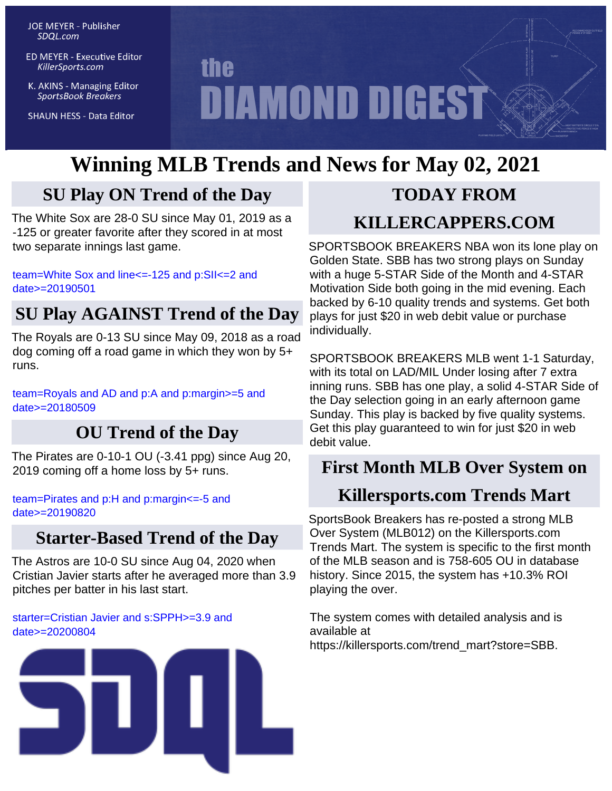**JOE MEYER - Publisher** SDQL.com

**ED MEYER - Executive Editor** KillerSports.com

K. AKINS - Managing Editor **SportsBook Breakers** 

**SHAUN HESS - Data Editor** 

# **the DIAMOND DIGEST**

# **Winning MLB Trends and News for May 02, 2021**

# **SU Play ON Trend of the Day**

The White Sox are 28-0 SU since May 01, 2019 as a -125 or greater favorite after they scored in at most two separate innings last game.

[team=White Sox and line<=-125 and p:SII<=2 and](http://KillerSports.com/mlb/query?sdql=team%3DWhite%20Sox%20and%20line%3C%3D-125%20and%20p%3ASII%3C%3D2%20and%20date%3E%3D20190501) [date>=20190501](http://KillerSports.com/mlb/query?sdql=team%3DWhite%20Sox%20and%20line%3C%3D-125%20and%20p%3ASII%3C%3D2%20and%20date%3E%3D20190501)

# **SU Play AGAINST Trend of the Day**

The Royals are 0-13 SU since May 09, 2018 as a road dog coming off a road game in which they won by 5+ runs.

[team=Royals and AD and p:A and p:margin>=5 and](http://KillerSports.com/mlb/query?sdql=team%3DRoyals%20and%20AD%20and%20p%3AA%20and%20p%3Amargin%3E%3D5%20and%20date%3E%3D20180509) [date>=20180509](http://KillerSports.com/mlb/query?sdql=team%3DRoyals%20and%20AD%20and%20p%3AA%20and%20p%3Amargin%3E%3D5%20and%20date%3E%3D20180509)

# **OU Trend of the Day**

The Pirates are 0-10-1 OU (-3.41 ppg) since Aug 20, 2019 coming off a home loss by 5+ runs.

[team=Pirates and p:H and p:margin<=-5 and](http://KillerSports.com/mlb/query?sdql=team%3DPirates%20and%20p%3AH%20and%20p%3Amargin%3C%3D-5%20and%20date%3E%3D20190820) [date>=20190820](http://KillerSports.com/mlb/query?sdql=team%3DPirates%20and%20p%3AH%20and%20p%3Amargin%3C%3D-5%20and%20date%3E%3D20190820)

# **Starter-Based Trend of the Day**

The Astros are 10-0 SU since Aug 04, 2020 when Cristian Javier starts after he averaged more than 3.9 pitches per batter in his last start.

[starter=Cristian Javier and s:SPPH>=3.9 and](http://KillerSports.com/mlb/query?sdql=starter%3DCristian%20Javier%20and%20s%3ASPPH%3E%3D3.9%20and%20date%3E%3D20200804) [date>=20200804](http://KillerSports.com/mlb/query?sdql=starter%3DCristian%20Javier%20and%20s%3ASPPH%3E%3D3.9%20and%20date%3E%3D20200804)



# **TODAY FROM**

# **KILLERCAPPERS.COM**

SPORTSBOOK BREAKERS NBA won its lone play on Golden State. SBB has two strong plays on Sunday with a huge 5-STAR Side of the Month and 4-STAR Motivation Side both going in the mid evening. Each backed by 6-10 quality trends and systems. Get both plays for just \$20 in web debit value or purchase individually.

SPORTSBOOK BREAKERS MLB went 1-1 Saturday, with its total on LAD/MIL Under losing after 7 extra inning runs. SBB has one play, a solid 4-STAR Side of the Day selection going in an early afternoon game Sunday. This play is backed by five quality systems. Get this play guaranteed to win for just \$20 in web debit value.

# **First Month MLB Over System on**

# **Killersports.com Trends Mart**

SportsBook Breakers has re-posted a strong MLB Over System (MLB012) on the Killersports.com Trends Mart. The system is specific to the first month of the MLB season and is 758-605 OU in database history. Since 2015, the system has +10.3% ROI playing the over.

The system comes with detailed analysis and is available at https://killersports.com/trend\_mart?store=SBB.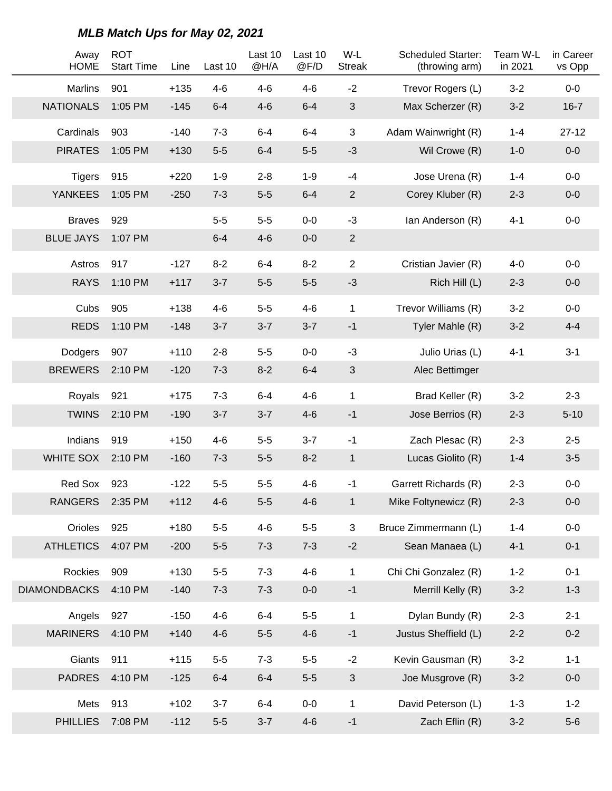| Away<br><b>HOME</b> | <b>ROT</b><br><b>Start Time</b> | Line   | Last 10 | Last 10<br>@H/A | Last 10<br>@F/D | W-L<br><b>Streak</b> | <b>Scheduled Starter:</b><br>(throwing arm) | Team W-L<br>in 2021 | in Career<br>vs Opp |
|---------------------|---------------------------------|--------|---------|-----------------|-----------------|----------------------|---------------------------------------------|---------------------|---------------------|
| Marlins             | 901                             | $+135$ | $4 - 6$ | $4 - 6$         | $4 - 6$         | $-2$                 | Trevor Rogers (L)                           | $3 - 2$             | $0-0$               |
| <b>NATIONALS</b>    | 1:05 PM                         | $-145$ | $6-4$   | $4 - 6$         | $6-4$           | $\mathfrak{S}$       | Max Scherzer (R)                            | $3 - 2$             | $16 - 7$            |
| Cardinals           | 903                             | $-140$ | $7 - 3$ | $6 - 4$         | $6 - 4$         | 3                    | Adam Wainwright (R)                         | $1 - 4$             | $27 - 12$           |
| <b>PIRATES</b>      | 1:05 PM                         | $+130$ | $5-5$   | $6 - 4$         | $5-5$           | $-3$                 | Wil Crowe (R)                               | $1 - 0$             | $0-0$               |
| <b>Tigers</b>       | 915                             | $+220$ | $1 - 9$ | $2 - 8$         | $1-9$           | $-4$                 | Jose Urena (R)                              | $1 - 4$             | $0-0$               |
| <b>YANKEES</b>      | 1:05 PM                         | $-250$ | $7 - 3$ | $5-5$           | $6-4$           | $\overline{2}$       | Corey Kluber (R)                            | $2 - 3$             | $0-0$               |
| <b>Braves</b>       | 929                             |        | $5-5$   | $5-5$           | $0-0$           | $-3$                 | Ian Anderson (R)                            | $4 - 1$             | $0-0$               |
| <b>BLUE JAYS</b>    | 1:07 PM                         |        | $6 - 4$ | $4 - 6$         | $0-0$           | $\overline{2}$       |                                             |                     |                     |
| Astros              | 917                             | $-127$ | $8 - 2$ | $6 - 4$         | $8 - 2$         | $\overline{2}$       | Cristian Javier (R)                         | $4 - 0$             | $0-0$               |
| <b>RAYS</b>         | 1:10 PM                         | $+117$ | $3 - 7$ | $5-5$           | $5-5$           | $-3$                 | Rich Hill (L)                               | $2 - 3$             | $0-0$               |
| Cubs                | 905                             | $+138$ | $4 - 6$ | $5-5$           | $4 - 6$         | $\mathbf 1$          | Trevor Williams (R)                         | $3 - 2$             | $0-0$               |
| <b>REDS</b>         | 1:10 PM                         | $-148$ | $3 - 7$ | $3 - 7$         | $3 - 7$         | $-1$                 | Tyler Mahle (R)                             | $3 - 2$             | $4 - 4$             |
| Dodgers             | 907                             | $+110$ | $2 - 8$ | $5-5$           | $0-0$           | $-3$                 | Julio Urias (L)                             | $4 - 1$             | $3 - 1$             |
| <b>BREWERS</b>      | 2:10 PM                         | $-120$ | $7 - 3$ | $8 - 2$         | $6-4$           | $\mathfrak{S}$       | Alec Bettimger                              |                     |                     |
| Royals              | 921                             | $+175$ | $7 - 3$ | $6 - 4$         | $4-6$           | $\mathbf{1}$         | Brad Keller (R)                             | $3 - 2$             | $2 - 3$             |
| <b>TWINS</b>        | 2:10 PM                         | $-190$ | $3 - 7$ | $3 - 7$         | $4-6$           | $-1$                 | Jose Berrios (R)                            | $2 - 3$             | $5 - 10$            |
| Indians             | 919                             | $+150$ | $4 - 6$ | $5-5$           | $3 - 7$         | $-1$                 | Zach Plesac (R)                             | $2 - 3$             | $2 - 5$             |
| <b>WHITE SOX</b>    | 2:10 PM                         | $-160$ | $7 - 3$ | $5-5$           | $8 - 2$         | $\mathbf{1}$         | Lucas Giolito (R)                           | $1 - 4$             | $3-5$               |
| Red Sox             | 923                             | $-122$ | $5-5$   | $5-5$           | $4 - 6$         | $-1$                 | Garrett Richards (R)                        | $2 - 3$             | $0-0$               |
| <b>RANGERS</b>      | 2:35 PM                         | $+112$ | $4-6$   | $5-5$           | $4-6$           | $\mathbf 1$          | Mike Foltynewicz (R)                        | $2 - 3$             | $0-0$               |
| Orioles             | 925                             | $+180$ | $5-5$   | $4 - 6$         | $5-5$           | 3                    | Bruce Zimmermann (L)                        | $1 - 4$             | $0-0$               |
| <b>ATHLETICS</b>    | 4:07 PM                         | $-200$ | $5-5$   | $7 - 3$         | $7 - 3$         | $-2$                 | Sean Manaea (L)                             | $4 - 1$             | $0 - 1$             |
| Rockies             | 909                             | $+130$ | $5-5$   | $7 - 3$         | $4-6$           | $\mathbf{1}$         | Chi Chi Gonzalez (R)                        | $1 - 2$             | $0 - 1$             |
| <b>DIAMONDBACKS</b> | 4:10 PM                         | $-140$ | $7 - 3$ | $7 - 3$         | $0-0$           | $-1$                 | Merrill Kelly (R)                           | $3-2$               | $1 - 3$             |
| Angels              | 927                             | $-150$ | $4 - 6$ | $6 - 4$         | $5-5$           | $\mathbf 1$          | Dylan Bundy (R)                             | $2 - 3$             | $2 - 1$             |
| <b>MARINERS</b>     | 4:10 PM                         | $+140$ | $4 - 6$ | $5-5$           | $4 - 6$         | $-1$                 | Justus Sheffield (L)                        | $2 - 2$             | $0 - 2$             |
| Giants              | 911                             | $+115$ | $5-5$   | $7 - 3$         | $5-5$           | $-2$                 | Kevin Gausman (R)                           | $3 - 2$             | $1 - 1$             |
| <b>PADRES</b>       | 4:10 PM                         | $-125$ | $6-4$   | $6 - 4$         | $5-5$           | $\sqrt{3}$           | Joe Musgrove (R)                            | $3-2$               | $0-0$               |
| Mets                | 913                             | $+102$ | $3 - 7$ | $6 - 4$         | $0-0$           | $\mathbf 1$          | David Peterson (L)                          | $1 - 3$             | $1 - 2$             |
| <b>PHILLIES</b>     | 7:08 PM                         | $-112$ | $5-5$   | $3 - 7$         | $4-6$           | $-1$                 | Zach Eflin (R)                              | $3-2$               | $5-6$               |

**MLB Match Ups for May 02, 2021**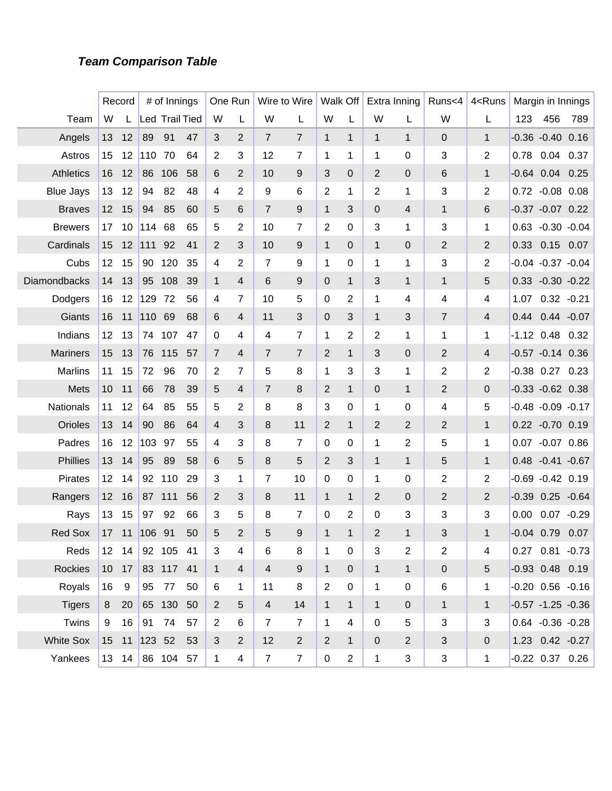#### **Team Comparison Table**

|                  |                 | Record        |         | # of Innings          |    |                | One Run         |                | Wire to Wire   |                | Walk Off         |                | Extra Inning     | Runs<4                    | 4 <runs< th=""><th></th><th>Margin in Innings</th><th></th></runs<> |              | Margin in Innings      |         |
|------------------|-----------------|---------------|---------|-----------------------|----|----------------|-----------------|----------------|----------------|----------------|------------------|----------------|------------------|---------------------------|---------------------------------------------------------------------|--------------|------------------------|---------|
| Team             | W               |               |         | <b>Led Trail Tied</b> |    | W              | L               | W              | L              | W              | L                | W              | L                | W                         | L                                                                   | 123          | 456                    | 789     |
| Angels           | 13              | 12            | 89      | 91                    | 47 | 3              | 2               | $\overline{7}$ | 7              | $\mathbf{1}$   | $\mathbf{1}$     | 1              | $\mathbf{1}$     | 0                         | $\mathbf{1}$                                                        |              | $-0.36 - 0.40$         | 0.16    |
| Astros           | 15              | 12            | 110     | 70                    | 64 | 2              | 3               | 12             | $\overline{7}$ | 1              | 1                | 1              | 0                | 3                         | 2                                                                   | 0.78         | 0.04                   | 0.37    |
| <b>Athletics</b> | 16              | 12            | 86      | 106                   | 58 | 6              | 2               | 10             | 9              | 3              | 0                | 2              | 0                | 6                         | $\mathbf{1}$                                                        |              | $-0.64$ 0.04           | 0.25    |
| <b>Blue Jays</b> | 13              | 12            | 94      | 82                    | 48 | 4              | 2               | 9              | 6              | $\overline{2}$ | 1                | 2              | 1                | 3                         | 2                                                                   |              | 0.72 -0.08 0.08        |         |
| <b>Braves</b>    | 12              | 15            | 94      | 85                    | 60 | 5              | 6               | $\overline{7}$ | 9              | $\mathbf{1}$   | 3                | 0              | 4                | $\mathbf{1}$              | 6                                                                   |              | $-0.37 -0.07$ 0.22     |         |
| <b>Brewers</b>   | 17              | 10            | 114     | 68                    | 65 | 5              | 2               | 10             | 7              | 2              | $\Omega$         | 3              | 1                | 3                         | 1                                                                   |              | $0.63 - 0.30 - 0.04$   |         |
| Cardinals        | 15              | 12            | 111     | 92                    | 41 | 2              | 3               | 10             | 9              | $\mathbf{1}$   | $\Omega$         | $\mathbf{1}$   | 0                | $\overline{2}$            | 2                                                                   |              | 0.33 0.15 0.07         |         |
| Cubs             | 12              | 15            | 90      | 120                   | 35 | 4              | 2               | 7              | 9              | 1              | 0                | 1              | 1                | 3                         | 2                                                                   |              | $-0.04 -0.37 -0.04$    |         |
| Diamondbacks     | 14              | 13            | 95      | 108                   | 39 | 1              | 4               | 6              | 9              | $\mathbf 0$    | $\mathbf{1}$     | 3              | $\mathbf{1}$     | $\mathbf{1}$              | 5                                                                   |              | $0.33 - 0.30 - 0.22$   |         |
| Dodgers          | 16              | 12            | 129     | 72                    | 56 | 4              | 7               | 10             | 5              | $\mathbf 0$    | 2                | 1              | 4                | 4                         | 4                                                                   | 1.07         | $0.32 - 0.21$          |         |
| Giants           | 16              | 11            | 110     | 69                    | 68 | 6              | 4               | 11             | 3              | $\mathbf 0$    | 3                | $\mathbf{1}$   | 3                | $\overline{7}$            | 4                                                                   |              | 0.44 0.44 -0.07        |         |
| Indians          | 12              | 13            | 74      | 107                   | 47 | 0              | 4               | 4              | $\overline{7}$ | 1              | 2                | 2              | 1                | 1                         | 1                                                                   |              | $-1.12$ 0.48 0.32      |         |
| <b>Mariners</b>  | 15              | 13            | 76      | 115                   | 57 | $\overline{7}$ | 4               | $\overline{7}$ | 7              | $\overline{2}$ | $\mathbf{1}$     | 3              | 0                | $\overline{2}$            | 4                                                                   |              | $-0.57 -0.14$ 0.36     |         |
| <b>Marlins</b>   | 11              | 15            | 72      | 96                    | 70 | $\overline{2}$ | 7               | 5              | 8              | 1              | 3                | 3              | 1                | $\overline{2}$            | 2                                                                   |              | $-0.38$ 0.27           | 0.23    |
| Mets             | 10              | 11            | 66      | 78                    | 39 | 5              | 4               | $\overline{7}$ | 8              | $\overline{2}$ | $\mathbf{1}$     | 0              | $\mathbf{1}$     | $\overline{2}$            | 0                                                                   |              | $-0.33 - 0.62$ 0.38    |         |
| Nationals        | 11              | 12            | 64      | 85                    | 55 | 5              | 2               | 8              | 8              | 3              | 0                | 1              | 0                | 4                         | 5                                                                   |              | $-0.48 - 0.09 - 0.17$  |         |
| Orioles          | 13              | 14            | 90      | 86                    | 64 | 4              | 3               | 8              | 11             | $\overline{2}$ | $\mathbf{1}$     | 2              | 2                | $\overline{2}$            | $\mathbf{1}$                                                        |              | 0.22 -0.70 0.19        |         |
| Padres           | 16              | 12            | 103     | 97                    | 55 | 4              | 3               | 8              | $\overline{7}$ | 0              | 0                | 1              | 2                | 5                         | 1                                                                   |              | 0.07 -0.07 0.86        |         |
| <b>Phillies</b>  | 13              | 14            | 95      | 89                    | 58 | 6              | 5               | 8              | 5              | $\overline{2}$ | 3                | 1              | $\mathbf{1}$     | 5                         | $\mathbf{1}$                                                        |              | $0.48 - 0.41 - 0.67$   |         |
| <b>Pirates</b>   | 12              | 14            | 92      | 110                   | 29 | 3              | 1               | 7              | 10             | 0              | 0                | 1              | 0                | $\overline{2}$            | 2                                                                   |              | $-0.69 - 0.42 0.19$    |         |
| Rangers          | 12              | 16            | 87      | 111                   | 56 | 2              | 3               | 8              | 11             | $\mathbf{1}$   | $\mathbf{1}$     | 2              | 0                | $\overline{2}$            | 2                                                                   |              | $-0.39$ $0.25$ $-0.64$ |         |
| Rays             | 13              | 15            | 97      | 92                    | 66 | 3              | 5               | 8              | 7              | 0              | 2                | $\Omega$       | 3                | 3                         | 3                                                                   | 0.00         | 0.07                   | $-0.29$ |
| <b>Red Sox</b>   | 17              | 11            | 106     | 91                    | 50 | 5              | $\overline{2}$  | 5              | 9              | $\mathbf{1}$   | 1                | $\overline{2}$ | 1                | 3                         | $\mathbf{1}$                                                        | $-0.04$ 0.79 |                        | 0.07    |
| Reds             |                 | 12 14         |         | 92 105 41             |    | 3              | 4               | 6              | 8              | $\mathbf 1$    | $\boldsymbol{0}$ | 3              | $\overline{2}$   | $\sqrt{2}$                | 4                                                                   |              | 0.27 0.81 -0.73        |         |
| Rockies          |                 | 10 17         |         | 83 117 41             |    | $\mathbf{1}$   | $\overline{4}$  | $\overline{4}$ | 9              | $\mathbf{1}$   | $\mathbf 0$      | $\mathbf 1$    | $\mathbf{1}$     | $\pmb{0}$                 | 5                                                                   |              | $-0.93$ 0.48 0.19      |         |
| Royals           | 16              | 9             | 95      | 77                    | 50 | 6              | $\mathbf{1}$    | 11             | 8              | $\overline{2}$ | $\mathbf 0$      | 1              | $\boldsymbol{0}$ | 6                         | 1                                                                   |              | $-0.20$ $0.56$ $-0.16$ |         |
| <b>Tigers</b>    | 8               | 20            |         | 65 130                | 50 | $\overline{2}$ | $5\phantom{.0}$ | $\overline{4}$ | 14             | $\mathbf{1}$   | $\mathbf{1}$     | $\mathbf{1}$   | $\pmb{0}$        | $\mathbf 1$               | $\mathbf{1}$                                                        |              | $-0.57 -1.25 -0.36$    |         |
| Twins            | 9               | 16            | 91      | 74                    | 57 | $\overline{2}$ | 6               | $\overline{7}$ | $\overline{7}$ | $\mathbf 1$    | $\overline{4}$   | $\mathbf 0$    | 5                | 3                         | 3                                                                   |              | $0.64 - 0.36 - 0.28$   |         |
| <b>White Sox</b> | 15 <sub>1</sub> | 11            | 123, 52 |                       | 53 | 3              | $\overline{2}$  | 12             | $\overline{2}$ | $\overline{2}$ | $\mathbf{1}$     | $\overline{0}$ | $\overline{2}$   | $\ensuremath{\mathsf{3}}$ | $\mathbf 0$                                                         |              | 1.23 0.42 -0.27        |         |
| Yankees          |                 | $13 \quad 14$ |         | 86 104 57             |    | 1              | 4               | $\overline{7}$ | $\overline{7}$ | $\mathbf 0$    | $\overline{a}$   | $\mathbf 1$    | 3                | 3                         | 1                                                                   |              | $-0.22$ 0.37 0.26      |         |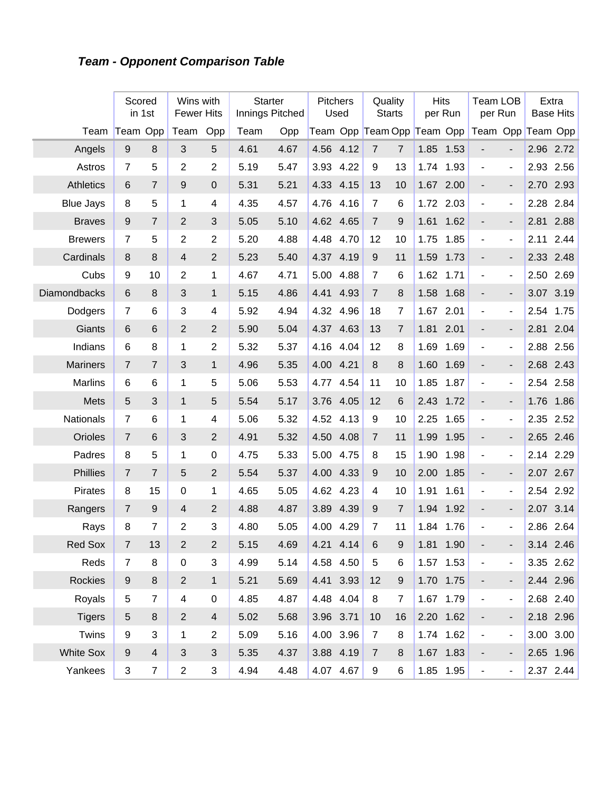# **Team - Opponent Comparison Table**

|                     | Scored           | in 1st         | Wins with<br><b>Fewer Hits</b> |                | <b>Starter</b><br>Innings Pitched |      | <b>Pitchers</b> | Used      | Quality        | <b>Starts</b>    | <b>Hits</b>                | per Run   | <b>Team LOB</b><br>per Run |                              |      | Extra<br><b>Base Hits</b> |
|---------------------|------------------|----------------|--------------------------------|----------------|-----------------------------------|------|-----------------|-----------|----------------|------------------|----------------------------|-----------|----------------------------|------------------------------|------|---------------------------|
| Team                | Team Opp         |                | Team                           | Opp            | Team                              | Opp  |                 |           |                |                  | Team Opp Team Opp Team Opp |           | Team Opp Team Opp          |                              |      |                           |
| Angels              | 9                | 8              | 3                              | 5              | 4.61                              | 4.67 | 4.56            | 4.12      | $\overline{7}$ | $\overline{7}$   | 1.85                       | 1.53      |                            |                              |      | 2.96 2.72                 |
| Astros              | $\overline{7}$   | 5              | $\overline{2}$                 | $\overline{2}$ | 5.19                              | 5.47 | 3.93            | 4.22      | 9              | 13               | 1.74                       | 1.93      | $\blacksquare$             | $\blacksquare$               | 2.93 | 2.56                      |
| <b>Athletics</b>    | 6                | $\overline{7}$ | 9                              | $\mathbf 0$    | 5.31                              | 5.21 | 4.33            | 4.15      | 13             | 10               | 1.67                       | 2.00      |                            | $\overline{\phantom{a}}$     | 2.70 | 2.93                      |
| <b>Blue Jays</b>    | 8                | 5              | 1                              | 4              | 4.35                              | 4.57 | 4.76            | 4.16      | 7              | 6                | 1.72                       | 2.03      | $\blacksquare$             | $\blacksquare$               | 2.28 | 2.84                      |
| <b>Braves</b>       | 9                | $\overline{7}$ | $\overline{2}$                 | 3              | 5.05                              | 5.10 | 4.62            | 4.65      | $\overline{7}$ | 9                | 1.61                       | 1.62      |                            | $\overline{\phantom{a}}$     | 2.81 | 2.88                      |
| <b>Brewers</b>      | 7                | 5              | $\overline{2}$                 | $\overline{2}$ | 5.20                              | 4.88 | 4.48            | 4.70      | 12             | 10               | 1.75                       | 1.85      | $\blacksquare$             | $\qquad \qquad \blacksquare$ | 2.11 | 2.44                      |
| Cardinals           | 8                | 8              | $\overline{4}$                 | $\overline{2}$ | 5.23                              | 5.40 | 4.37            | 4.19      | $9\,$          | 11               | 1.59                       | 1.73      |                            | $\overline{\phantom{a}}$     | 2.33 | 2.48                      |
| Cubs                | 9                | 10             | $\overline{2}$                 | 1              | 4.67                              | 4.71 | 5.00            | 4.88      | 7              | 6                | 1.62                       | 1.71      | $\overline{\phantom{a}}$   | $\blacksquare$               | 2.50 | 2.69                      |
| <b>Diamondbacks</b> | $6\phantom{1}$   | 8              | 3                              | 1              | 5.15                              | 4.86 | 4.41            | 4.93      | $\overline{7}$ | 8                | 1.58                       | 1.68      | $\overline{\phantom{m}}$   | $\overline{\phantom{a}}$     | 3.07 | 3.19                      |
| Dodgers             | $\overline{7}$   | 6              | 3                              | 4              | 5.92                              | 4.94 | 4.32            | 4.96      | 18             | 7                | 1.67                       | 2.01      | $\blacksquare$             | $\blacksquare$               | 2.54 | 1.75                      |
| Giants              | 6                | 6              | $\overline{2}$                 | $\overline{2}$ | 5.90                              | 5.04 | 4.37            | 4.63      | 13             | $\overline{7}$   | 1.81                       | 2.01      | $\overline{\phantom{m}}$   | $\overline{\phantom{a}}$     | 2.81 | 2.04                      |
| Indians             | 6                | 8              | 1                              | $\overline{2}$ | 5.32                              | 5.37 | 4.16            | 4.04      | 12             | 8                | 1.69                       | 1.69      | $\blacksquare$             | $\blacksquare$               | 2.88 | 2.56                      |
| <b>Mariners</b>     | $\overline{7}$   | $\overline{7}$ | 3                              | $\mathbf{1}$   | 4.96                              | 5.35 | 4.00            | 4.21      | $\,8\,$        | 8                | 1.60                       | 1.69      |                            | $\overline{\phantom{a}}$     | 2.68 | 2.43                      |
| Marlins             | 6                | 6              | 1                              | 5              | 5.06                              | 5.53 | 4.77            | 4.54      | 11             | 10               | 1.85                       | 1.87      | $\blacksquare$             | $\blacksquare$               | 2.54 | 2.58                      |
| Mets                | 5                | 3              | $\mathbf{1}$                   | 5              | 5.54                              | 5.17 | 3.76            | 4.05      | 12             | 6                | 2.43                       | 1.72      | $\overline{\phantom{a}}$   | $\overline{\phantom{a}}$     | 1.76 | 1.86                      |
| Nationals           | $\overline{7}$   | 6              | 1                              | 4              | 5.06                              | 5.32 | 4.52            | 4.13      | 9              | 10               | 2.25                       | 1.65      | $\overline{\phantom{a}}$   | $\overline{\phantom{m}}$     | 2.35 | 2.52                      |
| Orioles             | $\overline{7}$   | 6              | 3                              | $\overline{2}$ | 4.91                              | 5.32 | 4.50            | 4.08      | $\overline{7}$ | 11               | 1.99                       | 1.95      | $\overline{\phantom{m}}$   | $\overline{\phantom{a}}$     | 2.65 | 2.46                      |
| Padres              | 8                | 5              | 1                              | $\pmb{0}$      | 4.75                              | 5.33 | 5.00            | 4.75      | 8              | 15               | 1.90                       | 1.98      | $\blacksquare$             | $\qquad \qquad \blacksquare$ | 2.14 | 2.29                      |
| Phillies            | $\overline{7}$   | $\overline{7}$ | 5                              | $\overline{2}$ | 5.54                              | 5.37 | 4.00            | 4.33      | $9\,$          | 10               | 2.00                       | 1.85      | $\overline{\phantom{a}}$   | $\overline{\phantom{a}}$     | 2.07 | 2.67                      |
| <b>Pirates</b>      | $\,8\,$          | 15             | $\mathbf 0$                    | 1              | 4.65                              | 5.05 | 4.62            | 4.23      | 4              | 10               | 1.91                       | 1.61      | $\blacksquare$             | $\overline{\phantom{a}}$     | 2.54 | 2.92                      |
| Rangers             | 7                | 9              | 4                              | $\overline{2}$ | 4.88                              | 4.87 | 3.89            | 4.39      | 9              | $\overline{7}$   | 1.94                       | 1.92      | $\overline{\phantom{m}}$   | $\overline{\phantom{a}}$     | 2.07 | 3.14                      |
| Rays                | 8                | $\overline{7}$ | $\overline{2}$                 | 3              | 4.80                              | 5.05 | 4.00            | 4.29      | 7              | 11               | 1.84                       | 1.76      | $\overline{\phantom{a}}$   | $\blacksquare$               |      | 2.86 2.64                 |
| Red Sox             | $\overline{7}$   | 13             | $\overline{c}$                 | $\overline{c}$ | 5.15                              | 4.69 | 4.21            | 4.14      | 6              | 9                |                            | 1.81 1.90 |                            |                              |      | 3.14 2.46                 |
| Reds                | $\overline{7}$   | 8              | $\pmb{0}$                      | 3              | 4.99                              | 5.14 | 4.58            | 4.50      | 5              | 6                |                            | 1.57 1.53 | $\blacksquare$             | $\overline{\phantom{a}}$     |      | 3.35 2.62                 |
| <b>Rockies</b>      | $\boldsymbol{9}$ | $\bf 8$        | $\overline{2}$                 | 1              | 5.21                              | 5.69 |                 | 4.41 3.93 | 12             | $\boldsymbol{9}$ |                            | 1.70 1.75 | ۰                          | $\overline{\phantom{a}}$     |      | 2.44 2.96                 |
| Royals              | 5                | $\overline{7}$ | 4                              | $\mathbf 0$    | 4.85                              | 4.87 |                 | 4.48 4.04 | 8              | $\overline{7}$   |                            | 1.67 1.79 | $\blacksquare$             | $\blacksquare$               |      | 2.68 2.40                 |
| <b>Tigers</b>       | $\sqrt{5}$       | 8              | $\overline{2}$                 | $\overline{4}$ | 5.02                              | 5.68 | 3.96 3.71       |           | 10             | 16               |                            | 2.20 1.62 | $\overline{\phantom{a}}$   | $\overline{\phantom{a}}$     |      | 2.18 2.96                 |
| Twins               | $\boldsymbol{9}$ | 3              | 1                              | $\mathbf{2}$   | 5.09                              | 5.16 |                 | 4.00 3.96 | $\overline{7}$ | 8                |                            | 1.74 1.62 | $\blacksquare$             | $\blacksquare$               |      | 3.00 3.00                 |
| <b>White Sox</b>    | $9\,$            | $\overline{4}$ | 3                              | $\sqrt{3}$     | 5.35                              | 4.37 | 3.88 4.19       |           | $\overline{7}$ | 8                |                            | 1.67 1.83 | ۰                          | -                            |      | 2.65 1.96                 |
| Yankees             | $\sqrt{3}$       | $\overline{7}$ | $\overline{c}$                 | 3              | 4.94                              | 4.48 |                 | 4.07 4.67 | 9              | 6                |                            | 1.85 1.95 | $\blacksquare$             | $\blacksquare$               |      | $2.37$ 2.44               |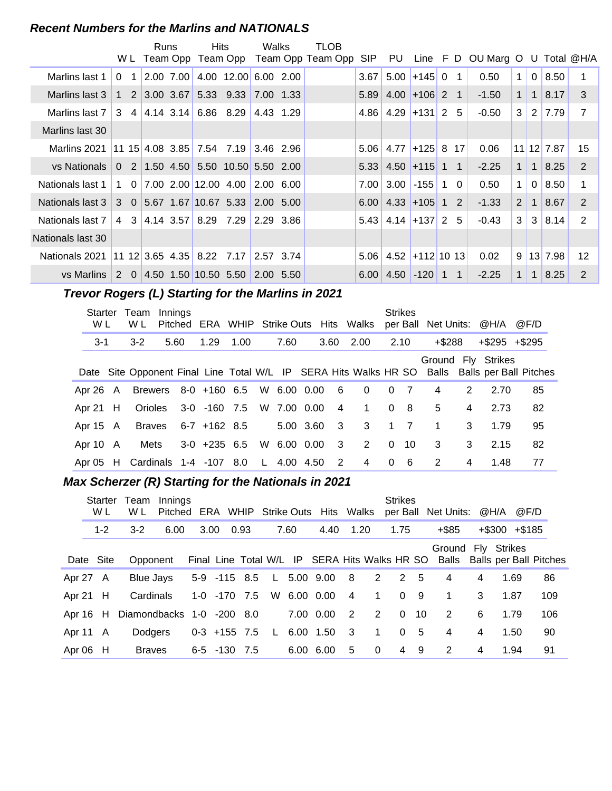#### **Recent Numbers for the Marlins and NATIONALS**

|                                                     |          |                         | Runs         | Hits.                                                   | Walks             | TLOB              |            |                                   |          |                                        |                 |                                 |              |                |                       |                |
|-----------------------------------------------------|----------|-------------------------|--------------|---------------------------------------------------------|-------------------|-------------------|------------|-----------------------------------|----------|----------------------------------------|-----------------|---------------------------------|--------------|----------------|-----------------------|----------------|
|                                                     |          |                         | W L Team Opp | Team Opp                                                |                   | Team Opp Team Opp | <b>SIP</b> | PU                                |          |                                        |                 | Line F D OU Marg O U Total @H/A |              |                |                       |                |
| Marlins last 1                                      | $\Omega$ | $\overline{\mathbf{1}}$ |              | 2.00 7.00 4.00 12.00 6.00 2.00                          |                   |                   | 3.67       | 5.00                              | $+145$ 0 |                                        | $\overline{1}$  | 0.50                            | $\mathbf{1}$ | $\overline{0}$ | 8.50                  |                |
| Marlins last 3                                      |          |                         |              | 1 2 3.00 3.67 5.33 9.33                                 | 7.00 1.33         |                   |            | $5.89$ 4.00 +106 2 1              |          |                                        |                 | $-1.50$                         | $\mathbf{1}$ | $\mathbf{1}$   | 8.17                  | 3              |
| Marlins last 7                                      |          |                         |              | $3 \quad 4 \quad 4.14 \quad 3.14 \quad 6.86 \quad 8.29$ | 4.43 1.29         |                   |            | $4.86$ 4.29 + 131 2               |          |                                        | -5              | $-0.50$                         | 3            |                | 2 7.79                | $\overline{7}$ |
| Marlins last 30                                     |          |                         |              |                                                         |                   |                   |            |                                   |          |                                        |                 |                                 |              |                |                       |                |
| Marlins 2021                                        |          |                         |              | $11 \t15 \t4.08 \t3.85 \t7.54 \t7.19 \t3.46 \t2.96$     |                   |                   |            | $5.06$ 4.77 + 125 8               |          |                                        | 17 <sup>1</sup> | 0.06                            |              |                | 11 12 7.87            | 15             |
| vs Nationals                                        |          |                         |              | $0$ 2 1.50 4.50 5.50 10.50 5.50 2.00                    |                   |                   |            | $5.33$ 4.50 + 115 1 1             |          |                                        |                 | $-2.25$                         | $\mathbf 1$  | $\mathbf{1}$   | 8.25                  | 2              |
| Nationals last 1                                    |          | $1\quad 0$              |              | $\vert 7.00 \vert 2.00 \vert 12.00 \vert 4.00 \vert$    | $2.00 \quad 6.00$ |                   | 7.00       | 3.00                              | $-155$   | $\begin{array}{ccc} 1 & 0 \end{array}$ |                 | 0.50                            | $\mathbf 1$  | $\Omega$       | 8.50                  |                |
| Nationals last 3 3 0 5.67 1.67 10.67 5.33 2.00 5.00 |          |                         |              |                                                         |                   |                   |            | $6.00 \mid 4.33 \mid +105 \mid 1$ |          |                                        | 2               | $-1.33$                         | 2            | 1              | 8.67                  | 2              |
| Nationals last 7                                    |          |                         |              | 4 3 4.14 3.57 8.29 7.29                                 | 2.29 3.86         |                   |            | $5.43$ 4.14 + 137 2               |          |                                        | -5              | $-0.43$                         | 3            | 3              | 8.14                  | 2              |
| Nationals last 30                                   |          |                         |              |                                                         |                   |                   |            |                                   |          |                                        |                 |                                 |              |                |                       |                |
| Nationals 2021                                      |          |                         |              | $11 \t12 \t3.65 \t4.35 \t8.22 \t7.17$                   | 2.57 3.74         |                   |            | $5.06$   4.52 + 112 10 13         |          |                                        |                 | 0.02                            |              |                | $9 \mid 13 \mid 7.98$ | 12             |
| vs Marlins 2 0 4.50 1.50 10.50 5.50                 |          |                         |              |                                                         | 2.00 5.50         |                   | 6.00       | $ 4.50 $ -120   1                 |          |                                        | $\overline{1}$  | $-2.25$                         | $\mathbf{1}$ | 1              | 8.25                  | 2              |

# **Trevor Rogers (L) Starting for the Marlins in 2021**

| Starter<br>W L | Team<br>W L                               | Innings | Pitched |                                  |      |             |                         | ERA WHIP Strike Outs Hits Walks |          | <b>Strikes</b> | per Ball Net Units: @H/A |   |                     | @F/D                                                                                          |
|----------------|-------------------------------------------|---------|---------|----------------------------------|------|-------------|-------------------------|---------------------------------|----------|----------------|--------------------------|---|---------------------|-----------------------------------------------------------------------------------------------|
| $3 - 1$        | $3-2$                                     |         | 5.60    | 1.29                             | 1.00 | 7.60        | 3.60                    | 2.00                            |          | 2.10           | $+$ \$288                |   | $+$ \$295 $+$ \$295 |                                                                                               |
|                |                                           |         |         |                                  |      |             |                         |                                 |          |                |                          |   | Ground Fly Strikes  | Date Site Opponent Final Line Total W/L IP SERA Hits Walks HR SO Balls Balls per Ball Pitches |
|                | Apr 26 A Brewers 8-0 +160 6.5 W 6.00 0.00 |         |         |                                  |      |             | $6\overline{6}$         | $\overline{0}$                  | $\Omega$ | $\overline{7}$ | $\overline{4}$           | 2 | 2.70                | 85                                                                                            |
| Apr 21 $H$     |                                           |         |         | Orioles 3-0 -160 7.5 W 7.00 0.00 |      |             | $\overline{4}$          | $\mathbf{1}$                    | $\Omega$ | - 8            | 5                        | 4 | 2.73                | 82                                                                                            |
| Apr 15 A       | Braves                                    |         |         | 6-7 +162 8.5                     |      | 5.00 3.60 3 |                         | 3                               |          | $1 \quad 7$    | $\overline{1}$           | 3 | 1.79                | 95                                                                                            |
| Apr 10 A       | Mets                                      |         |         | $3-0$ +235 6.5                   |      | W 6.00 0.00 | $\overline{\mathbf{3}}$ | 2                               | $\Omega$ | 10             | 3                        | 3 | 2.15                | 82                                                                                            |
|                | Apr 05 H Cardinals 1-4 -107 8.0           |         |         |                                  |      | L 4.00 4.50 | $\overline{2}$          | 4                               | $\Omega$ | - 6            | 2                        | 4 | 1.48                | 77                                                                                            |

# **Max Scherzer (R) Starting for the Nationals in 2021**

|            | Starter<br>W L | Team<br>W L               | Innings<br>Pitched ERA WHIP Strike Outs Hits Walks |      |                |      |              |      |                                               |                         |              | <b>Strikes</b> |                | per Ball Net Units: @H/A                           |   |                     | @F/D |     |
|------------|----------------|---------------------------|----------------------------------------------------|------|----------------|------|--------------|------|-----------------------------------------------|-------------------------|--------------|----------------|----------------|----------------------------------------------------|---|---------------------|------|-----|
|            | $1 - 2$        | $3-2$                     | 6.00                                               | 3.00 |                | 0.93 |              | 7.60 | 4.40                                          | 1.20                    |              | 1.75           |                | $+$ \$85                                           |   | $+$ \$300 $+$ \$185 |      |     |
|            | Date Site      | Opponent                  |                                                    |      |                |      |              |      | Final Line Total W/L IP SERA Hits Walks HR SO |                         |              |                |                | Ground Fly Strikes<br>Balls Balls per Ball Pitches |   |                     |      |     |
| Apr 27 A   |                | Blue Jays                 |                                                    |      | 5-9 -115 8.5   |      |              |      | L 5.00 9.00 8                                 |                         | 2            | 2 5            |                | 4                                                  | 4 | 1.69                |      | 86  |
| Apr 21 $H$ |                | Cardinals                 |                                                    |      | 1-0 -170 7.5   |      |              |      | W 6.00 0.00                                   | $\overline{4}$          | $\sim$ 1     | $0 \quad 9$    |                | $\overline{1}$                                     | 3 | 1.87                |      | 109 |
| Apr $16$ H |                | Diamondbacks 1-0 -200 8.0 |                                                    |      |                |      |              |      | 7.00 0.00                                     | $\overline{2}$          | 2            | $\Omega$       | 10             | 2                                                  | 6 | 1.79                |      | 106 |
| Apr 11 A   |                | <b>Dodgers</b>            |                                                    |      | $0-3$ +155 7.5 |      | $\mathsf{L}$ |      | 6.00 1.50                                     | $\overline{\mathbf{3}}$ | $\mathbf{1}$ |                | 0 <sub>5</sub> | $\overline{4}$                                     | 4 | 1.50                |      | 90  |
| Apr $06$ H |                | <b>Braves</b>             |                                                    |      | 6-5 -130 7.5   |      |              |      | 6.00 6.00                                     | 5                       | $\Omega$     | $\overline{4}$ | -9             | 2                                                  | 4 | 1.94                |      | 91  |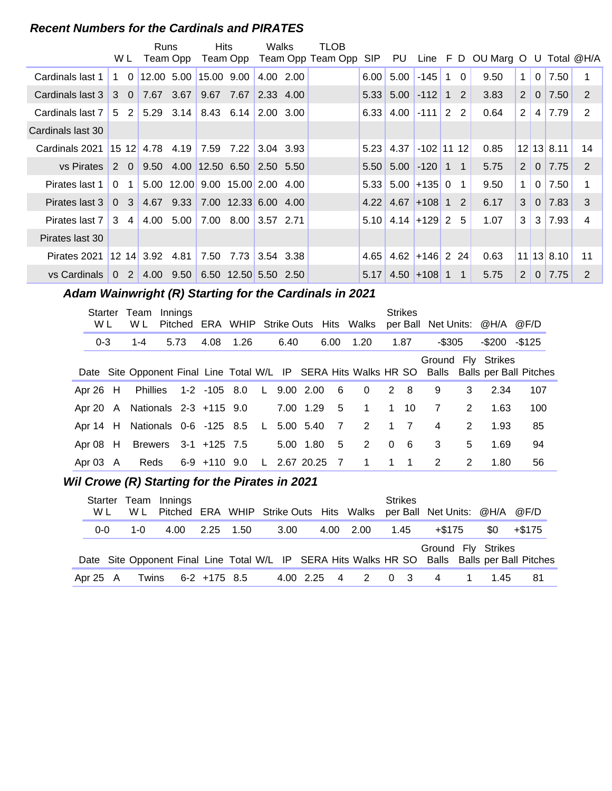#### **Recent Numbers for the Cardinals and PIRATES**

|                   | W L                        |                         | Runs<br>Team Opp                          | Hits |                      | Walks                         | TLOB<br>Team Opp Team Opp Team Opp | SIP  |                          |                  |              |                | PU Line F D OU Marg O U Total @H/A |                |                |              |               |
|-------------------|----------------------------|-------------------------|-------------------------------------------|------|----------------------|-------------------------------|------------------------------------|------|--------------------------|------------------|--------------|----------------|------------------------------------|----------------|----------------|--------------|---------------|
|                   |                            |                         |                                           |      |                      |                               |                                    |      |                          |                  |              |                |                                    |                |                |              |               |
| Cardinals last 1  | $1\quad 0$                 |                         | 12.00 5.00 15.00 9.00                     |      |                      | 4.00 2.00                     |                                    | 6.00 | 5.00                     | $-145$           | $\mathbf{1}$ | $\Omega$       | 9.50                               | $\mathbf 1$    | $\overline{0}$ | 7.50         |               |
| Cardinals last 3  | 3 0                        |                         | 7.67 3.67                                 |      | 9.67 7.67            | $\vert 2.33 \vert 4.00 \vert$ |                                    |      | $5.33$ $5.00$ $-112$ 1 2 |                  |              |                | 3.83                               | 2              | $\Omega$       | 7.50         | 2             |
| Cardinals last 7  | 2 <sup>1</sup><br>5        |                         | $5.29$ $3.14$ $8.43$ $6.14$ $2.00$ $3.00$ |      |                      |                               |                                    |      | $6.33 \mid 4.00 \mid$    | $-111$ 2 2       |              |                | 0.64                               | $\overline{2}$ | 4              | 7.79         | 2             |
| Cardinals last 30 |                            |                         |                                           |      |                      |                               |                                    |      |                          |                  |              |                |                                    |                |                |              |               |
| Cardinals 2021    |                            | 15 12 4.78 4.19         |                                           |      | 7.59 7.22 3.04 3.93  |                               |                                    | 5.23 | 4.37                     | $-102$ 11 12     |              |                | 0.85                               |                |                | $12$ 13 8.11 | 14            |
| vs Pirates        | $2\quad 0$                 |                         | $9.50$ 4.00 12.50 6.50 2.50 5.50          |      |                      |                               |                                    |      | $5.50$ $5.00$ $-120$ 1 1 |                  |              |                | 5.75                               | 2              | $\overline{0}$ | 7.75         | 2             |
| Pirates last 1    | $\Omega$<br>-1             |                         | 5.00 12.00 9.00 15.00 2.00 4.00           |      |                      |                               |                                    | 5.33 |                          | $5.00$ +135 0    |              | $\blacksquare$ | 9.50                               | $\mathbf 1$    | $\Omega$       | 7.50         |               |
| Pirates last 3    | $\cdot$ 3<br>$\Omega$      |                         | 4.67 9.33 7.00 12.33 6.00 4.00            |      |                      |                               |                                    |      | $4.22$ 4.67 + 108 1 2    |                  |              |                | 6.17                               | 3              | $\Omega$       | 7.83         | 3             |
| Pirates last 7    | 3<br>4                     |                         | 4.00 5.00                                 |      | 7.00 8.00 3.57 2.71  |                               |                                    |      | $5.10$ 4.14 + 129 2 5    |                  |              |                | 1.07                               | 3              | 3              | 7.93         | 4             |
| Pirates last 30   |                            |                         |                                           |      |                      |                               |                                    |      |                          |                  |              |                |                                    |                |                |              |               |
| Pirates 2021      |                            | $12 \t14 \t3.92 \t4.81$ |                                           | 7.50 | 7.73 3.54 3.38       |                               |                                    | 4.65 |                          | $4.62$ +146 2 24 |              |                | 0.63                               |                |                | 11 13 8.10   | 11            |
| vs Cardinals      | 2 <sup>1</sup><br>$\Omega$ |                         | 4.00 9.50                                 |      | 6.50 12.50 5.50 2.50 |                               |                                    | 5.17 |                          | $4.50 + 108$ 1 1 |              |                | 5.75                               | 2              | $\Omega$       | 7.75         | $\mathcal{P}$ |

# Adam Wainwright (R) Starting for the Cardinals in 2021

| Starter<br>W L | Team<br>W L                                 | Innings |                       |  |      |              |                | Pitched ERA WHIP Strike Outs Hits Walks |          | <b>Strikes</b>          |                |               | per Ball Net Units: @H/A @F/D |                                                                                               |
|----------------|---------------------------------------------|---------|-----------------------|--|------|--------------|----------------|-----------------------------------------|----------|-------------------------|----------------|---------------|-------------------------------|-----------------------------------------------------------------------------------------------|
| $0 - 3$        | $1 - 4$                                     | 5.73    | 4.08 1.26             |  | 6.40 |              | 6.00           | 1.20                                    |          | 1.87                    | -\$305         |               | $-$200 - $125$                |                                                                                               |
|                |                                             |         |                       |  |      |              |                |                                         |          |                         |                |               | Ground Fly Strikes            | Date Site Opponent Final Line Total W/L IP SERA Hits Walks HR SO Balls Balls per Ball Pitches |
| Apr 26 H       |                                             |         | Phillies 1-2 -105 8.0 |  |      | L 9.00 2.00  | - 6            | $\overline{0}$                          |          | 2 8                     | 9              | 3             | 2.34                          | 107                                                                                           |
|                | Apr 20 A Nationals 2-3 +115 9.0             |         |                       |  |      | 7.00 1.29    | 5              | $\overline{1}$                          |          | $1 \quad 10$            | 7              | $\mathcal{P}$ | 1.63                          | 100                                                                                           |
|                | Apr 14 H Nationals 0-6 -125 8.5 L 5.00 5.40 |         |                       |  |      |              | $\overline{7}$ | 2                                       |          | $1 \quad 7$             | $\overline{4}$ | $\mathcal{P}$ | 1.93                          | 85                                                                                            |
| Apr $08$ H     |                                             |         | Brewers 3-1 +125 7.5  |  |      | 5.00 1.80    | -5             | $\overline{2}$                          | $\Omega$ | - 6                     | 3              | 5             | 1.69                          | 94                                                                                            |
| Apr $03$ A     | Reds                                        |         | 6-9 +110 9.0          |  |      | L 2.67 20.25 | -7             | $\overline{1}$                          | 1        | $\overline{\mathbf{1}}$ | 2              | 2             | 1.80                          | 56                                                                                            |

# **Wil Crowe (R) Starting for the Pirates in 2021**

| Starter<br>W L | W L     | Team Innings<br>Pitched ERA WHIP Strike Outs Hits Walks per Ball Net Units: @H/A @F/D         |           |      |  |               | <b>Strikes</b> |                    |                |     |        |
|----------------|---------|-----------------------------------------------------------------------------------------------|-----------|------|--|---------------|----------------|--------------------|----------------|-----|--------|
| $0 - 0$        | $1 - 0$ | 4.00                                                                                          | 2.25 1.50 | 3.00 |  | 4.00 2.00     | 1.45           | +\$175             |                | \$0 | +\$175 |
|                |         |                                                                                               |           |      |  |               |                | Ground Fly Strikes |                |     |        |
|                |         | Date Site Opponent Final Line Total W/L IP SERA Hits Walks HR SO Balls Balls per Ball Pitches |           |      |  |               |                |                    |                |     |        |
| Apr 25 A       | Twins   | 6-2 +175 8.5                                                                                  |           |      |  | 4.00 2.25 4 2 | $0 \quad 3$    | 4                  | $\overline{1}$ | 145 | 81     |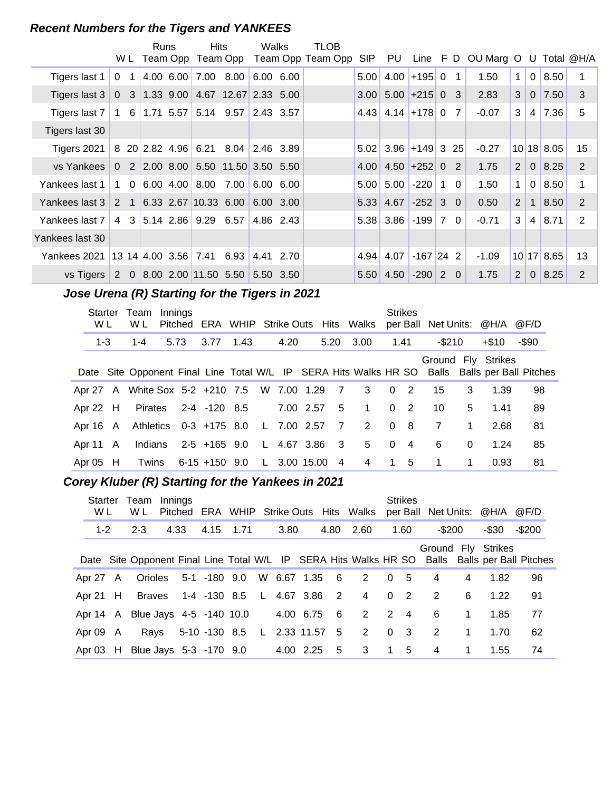#### **Recent Numbers for the Tigers and YANKEES**

|                                                                 |                |    | Runs | <b>Hits</b>                        |                                    | Walks |           | TLOB                                    |      |                        |                 |                |                                    |                |                |              |               |
|-----------------------------------------------------------------|----------------|----|------|------------------------------------|------------------------------------|-------|-----------|-----------------------------------------|------|------------------------|-----------------|----------------|------------------------------------|----------------|----------------|--------------|---------------|
|                                                                 |                |    |      |                                    |                                    |       |           | W L Team Opp Team Opp Team Opp Team Opp | SIP  |                        |                 |                | PU Line F D OU Marg O U Total @H/A |                |                |              |               |
| Tigers last 1                                                   | $\mathbf{0}$   | -1 |      |                                    | 4.00 6.00 7.00 8.00                |       | 6.00 6.00 |                                         | 5.00 |                        | $4.00 + 195$ 0  | $\overline{1}$ | 1.50                               | $\mathbf{1}$   | $\mathbf{0}$   | 8.50         |               |
| Tigers last 3                                                   |                |    |      |                                    |                                    |       |           |                                         | 3.00 |                        | $5.00$ +215 0 3 |                | 2.83                               | 3              | $\overline{0}$ | 7.50         | 3             |
| Tigers last 7   1   6   1.71   5.57   5.14   9.57   2.43   3.57 |                |    |      |                                    |                                    |       |           |                                         |      | $4.43$ 4.14 + 178 0 7  |                 |                | $-0.07$                            | 3              | 4              | 7.36         | 5             |
| Tigers last 30                                                  |                |    |      |                                    |                                    |       |           |                                         |      |                        |                 |                |                                    |                |                |              |               |
| Tigers 2021                                                     |                |    |      |                                    | 8 20 2.82 4.96 6.21 8.04 2.46 3.89 |       |           |                                         |      | $5.02$ 3.96 + 149 3 25 |                 |                | $-0.27$                            |                |                | 10 18 8.05   | 15            |
| vs Yankees                                                      | $\Omega$       |    |      |                                    | 2 2.00 8.00 5.50 11.50 3.50 5.50   |       |           |                                         |      | $4.00$ 4.50 + 252 0    |                 | $\overline{2}$ | 1.75                               | $\overline{2}$ | $\overline{0}$ | 8.25         | 2             |
| Yankees last 1                                                  | 1 0            |    |      | $ 6.00 \t4.00 8.00$                | 7.00                               |       | 6.00 6.00 |                                         | 5.00 | 5.00                   | $-220$   1      | $\Omega$       | 1.50                               | $\mathbf{1}$   | $\Omega$       | 8.50         | 1             |
| Yankees last 3                                                  |                |    |      |                                    | 2 1 6.33 2.67 10.33 6.00 6.00 3.00 |       |           |                                         |      | 5.33 4.67              | $-252$ 3 0      |                | 0.50                               | 2              | $\mathbf{1}$   | 8.50         | 2             |
| Yankees last 7                                                  | $\overline{4}$ |    |      |                                    | 3 5.14 2.86 9.29 6.57              |       | 4.86 2.43 |                                         |      | $5.38$ 3.86 -199 7     |                 | 0 <sub>1</sub> | $-0.71$                            | 3              | 4              | 8.71         | 2             |
| Yankees last 30                                                 |                |    |      |                                    |                                    |       |           |                                         |      |                        |                 |                |                                    |                |                |              |               |
| Yankees 2021                                                    |                |    |      | $13 \; 14 \; 4.00 \; 3.56 \; 7.41$ | 6.93                               |       | 4.41 2.70 |                                         | 4.94 | 4.07                   | $-167$ 24 2     |                | $-1.09$                            |                |                | $10$ 17 8.65 | 13            |
|                                                                 |                |    |      |                                    | vs Tigers 2 0 8.00 2.00 11.50 5.50 |       | 5.50 3.50 |                                         |      | $5.50$ 4.50            | $-290$ 2 0      |                | 1.75                               | 2              | $\Omega$       | 8.25         | $\mathcal{P}$ |

# **..........Jose Urena (R) Starting for the Tigers in 2021**

| W L        | Starter Team Innings<br>W L                   |      |                                    |  |      |                | Pitched ERA WHIP Strike Outs Hits Walks                                                       |      | <b>Strikes</b> |                         |             | per Ball Net Units: @H/A @F/D |       |  |
|------------|-----------------------------------------------|------|------------------------------------|--|------|----------------|-----------------------------------------------------------------------------------------------|------|----------------|-------------------------|-------------|-------------------------------|-------|--|
| $1 - 3$    | $1 - 4$                                       | 5.73 | 3.77 1.43                          |  | 4.20 |                | 5.20 3.00                                                                                     | 1.41 |                | $-$ \$210               |             | $+\$10$                       | -\$90 |  |
|            |                                               |      |                                    |  |      |                | Date Site Opponent Final Line Total W/L IP SERA Hits Walks HR SO Balls Balls per Ball Pitches |      |                |                         |             | Ground Fly Strikes            |       |  |
|            | Apr 27 A White Sox 5-2 +210 7.5 W 7.00 1.29 7 |      |                                    |  |      |                | 3 0 2                                                                                         |      |                | 15                      | 3           | 1.39                          | 98    |  |
| Apr 22 $H$ |                                               |      | Pirates 2-4 -120 8.5               |  |      |                | 7.00 2.57 5 1                                                                                 |      | 0 <sub>2</sub> | 10                      | 5           | 1.41                          | 89    |  |
|            | Apr 16 A Athletics 0-3 +175 8.0 L 7.00 2.57 7 |      |                                    |  |      |                | 2 0 8                                                                                         |      |                | 7                       | $\mathbf 1$ | 2.68                          | 81    |  |
| Apr 11 A   |                                               |      | Indians 2-5 +165 9.0 L 4.67 3.86 3 |  |      |                | 5 <sub>5</sub>                                                                                |      | $0\quad 4$     | -6                      | $\Omega$    | 1.24                          | 85    |  |
| Apr $05$ H |                                               |      | Twins 6-15 +150 9.0 L 3.00 15.00   |  |      | $\overline{4}$ | $\overline{4}$                                                                                |      | 1 5            | $\overline{\mathbf{1}}$ | $\mathbf 1$ | 0.93                          | 81    |  |

# **..........Corey Kluber (R) Starting for the Yankees in 2021**

| W L      | Starter Team<br>W L                      | Innings |                      |                                   |      |               |                | Pitched ERA WHIP Strike Outs Hits Walks |                                          | <b>Strikes</b> |                |              | per Ball Net Units: @H/A @F/D |                                                                                               |
|----------|------------------------------------------|---------|----------------------|-----------------------------------|------|---------------|----------------|-----------------------------------------|------------------------------------------|----------------|----------------|--------------|-------------------------------|-----------------------------------------------------------------------------------------------|
| $1 - 2$  | $2 - 3$                                  | 4.33    |                      | 4.15 1.71                         | 3.80 |               | 4.80           | 2.60                                    |                                          | 1.60           | $-$200$        |              | -\$30                         | $-$ \$200                                                                                     |
|          |                                          |         |                      |                                   |      |               |                |                                         |                                          |                |                |              | Ground Fly Strikes            | Date Site Opponent Final Line Total W/L IP SERA Hits Walks HR SO Balls Balls per Ball Pitches |
| Apr 27 A |                                          |         | Orioles 5-1 -180 9.0 |                                   |      | W 6.67 1.35 6 |                | 2                                       | 0 <sub>5</sub>                           |                | 4              | 4            | 1.82                          | 96                                                                                            |
|          | Apr 21 H Braves 1-4 -130 8.5 L 4.67 3.86 |         |                      |                                   |      |               | $\overline{2}$ | $\overline{4}$                          | $0\quad 2$                               |                | $\overline{2}$ | 6            | 1.22                          | 91                                                                                            |
|          | Apr 14 A Blue Jays 4-5 -140 10.0         |         |                      |                                   |      | 4.00 6.75     | - 6            | 2                                       |                                          | $2 \quad 4$    | 6              | $\mathbf{1}$ | 1.85                          | 77                                                                                            |
| Apr 09 A |                                          |         |                      | Rays 5-10 -130 8.5 L 2.33 11.57 5 |      |               |                | 2                                       | $\begin{array}{ccc} & 0 & 3 \end{array}$ |                | 2              | $\mathbf{1}$ | 1.70                          | 62                                                                                            |
|          | Apr 03 H Blue Jays 5-3 -170 9.0          |         |                      |                                   |      | 4.00 2.25     | 5              | -3                                      | $\overline{1}$                           | 5              | 4              |              | 1.55                          | 74                                                                                            |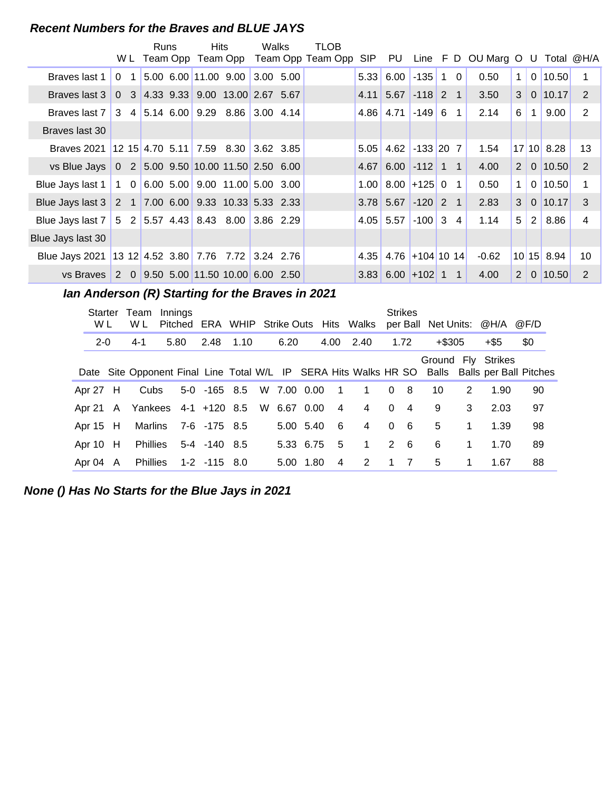#### **Recent Numbers for the Braves and BLUE JAYS**

|                                                                    |                | <b>Runs</b> | <b>Hits</b> |                                       | Walks | TLOB                                    |      |                            |                 |            |              |                      |                       |                |                |                 |
|--------------------------------------------------------------------|----------------|-------------|-------------|---------------------------------------|-------|-----------------------------------------|------|----------------------------|-----------------|------------|--------------|----------------------|-----------------------|----------------|----------------|-----------------|
|                                                                    |                |             |             |                                       |       | W L Team Opp Team Opp Team Opp Team Opp | SIP. | PU                         |                 |            |              | Line F D OU Marg O U |                       |                | Total @H/A     |                 |
| Braves last 1                                                      | 0 <sub>1</sub> |             |             | $5.00$ 6.00 11.00 9.00 3.00 5.00      |       |                                         | 5.33 |                            | $6.00$ -135     | $1\quad 0$ |              | 0.50                 | $\mathbf{1}$          |                | $0 \mid 10.50$ |                 |
| Braves last 3                                                      |                |             |             | $0$ 3 4.33 9.33 9.00 13.00 2.67 5.67  |       |                                         | 4.11 | $5.67 - 118$ 2 1           |                 |            |              | 3.50                 | 3 <sup>1</sup>        |                | $0$   10.17    | $\overline{2}$  |
| Braves last 7 3 4 5.14 6.00 9.29 8.86 3.00 4.14                    |                |             |             |                                       |       |                                         |      | $4.86$   4.71   -149   6 1 |                 |            |              | 2.14                 | 6                     | $\mathbf{1}$   | 9.00           | 2               |
| Braves last 30                                                     |                |             |             |                                       |       |                                         |      |                            |                 |            |              |                      |                       |                |                |                 |
| Braves 2021                                                        |                |             |             | $12$ 15 4.70 5.11 7.59 8.30 3.62 3.85 |       |                                         | 5.05 | 4.62 $\mid$ -133 20 7      |                 |            |              | 1.54                 |                       |                | $17$ 10 8.28   | 13              |
| vs Blue Jays   0 2   5.00 9.50   10.00 11.50 2.50 6.00             |                |             |             |                                       |       |                                         | 4.67 |                            | $6.00$ -112 1 1 |            |              | 4.00                 | 2 <sup>1</sup>        |                | 0 10.50        | $\overline{2}$  |
| Blue Jays last 1   1 0   6.00 5.00   9.00 11.00   5.00 3.00        |                |             |             |                                       |       |                                         |      | $1.00$ 8.00 + 125 0        |                 |            | $\mathbf{1}$ | 0.50                 | $\mathbf{1}$          |                | $0$   10.50    |                 |
| Blue Jays last 3 2 1 7.00 6.00 9.33 10.33 5.33 2.33                |                |             |             |                                       |       |                                         |      | $3.78$ 5.67 -120 2 1       |                 |            |              | 2.83                 | 3 <sup>1</sup>        |                | $0$   10.17    | 3               |
| Blue Jays last 7   5   2   5.57   4.43   8.43   8.00   3.86   2.29 |                |             |             |                                       |       |                                         |      | $4.05$ 5.57 -100 3 4       |                 |            |              | 1.14                 | 5                     | 2 <sup>1</sup> | 8.86           | 4               |
| Blue Jays last 30                                                  |                |             |             |                                       |       |                                         |      |                            |                 |            |              |                      |                       |                |                |                 |
| Blue Jays 2021   13 12   4.52 3.80   7.76 7.72   3.24 2.76         |                |             |             |                                       |       |                                         |      | $4.35$ 4.76 + 104 10 14    |                 |            |              | $-0.62$              |                       |                | 10 15 8.94     | 10 <sup>°</sup> |
| vs Braves 2 0 9.50 5.00 11.50 10.00 6.00 2.50                      |                |             |             |                                       |       |                                         |      | $3.83$ 6.00 + 102 1 1      |                 |            |              | 4.00                 | $\mathbf{2}^{\prime}$ |                | $0$ 10.50      | 2               |

**..........Ian Anderson (R) Starting for the Braves in 2021**

| Starter<br>W L | Team<br>W L                   | Innings |                       |  |             |      |                | Pitched ERA WHIP Strike Outs Hits Walks |          | <b>Strikes</b> | per Ball Net Units: @H/A |   |                                                                                               | @F/D |  |
|----------------|-------------------------------|---------|-----------------------|--|-------------|------|----------------|-----------------------------------------|----------|----------------|--------------------------|---|-----------------------------------------------------------------------------------------------|------|--|
| $2 - 0$        | $4 - 1$                       | 5.80    | 2.48 1.10             |  | 6.20        |      | 4.00           | 2.40                                    |          | 1.72           | $+$ \$305                |   | +\$5                                                                                          | \$0  |  |
|                |                               |         |                       |  |             |      |                |                                         |          |                | Ground Fly Strikes       |   | Date Site Opponent Final Line Total W/L IP SERA Hits Walks HR SO Balls Balls per Ball Pitches |      |  |
| Apr 27 H       | Cubs                          |         | $5-0$ $-165$ $8.5$    |  | W 7.00 0.00 |      | $\overline{1}$ | $\mathbf{1}$                            | $\Omega$ | - 8            | 10                       | 2 | 1.90                                                                                          | 90   |  |
|                | Apr 21 A Yankees 4-1 +120 8.5 |         |                       |  | W 6.67 0.00 |      | 4              | 4                                       | $\Omega$ | $\overline{4}$ | 9                        | 3 | 2.03                                                                                          | 97   |  |
| Apr 15 H       |                               |         | Marlins 7-6 -175 8.5  |  | 5.00 5.40   |      | 6              | 4                                       | $\Omega$ | - 6            | 5                        | 1 | 1.39                                                                                          | 98   |  |
| Apr 10 H       |                               |         | Phillies 5-4 -140 8.5 |  | 5.33 6.75   |      | -5             | $\mathbf 1$                             |          | $2 \quad 6$    | 6                        | 1 | 1.70                                                                                          | 89   |  |
| Apr 04 A       | Phillies                      |         | 1-2 -115 8.0          |  | 5.00        | 1.80 | 4              | 2                                       | 1.       | 7              | 5                        | 1 | 1.67                                                                                          | 88   |  |

**None () Has No Starts for the Blue Jays in 2021**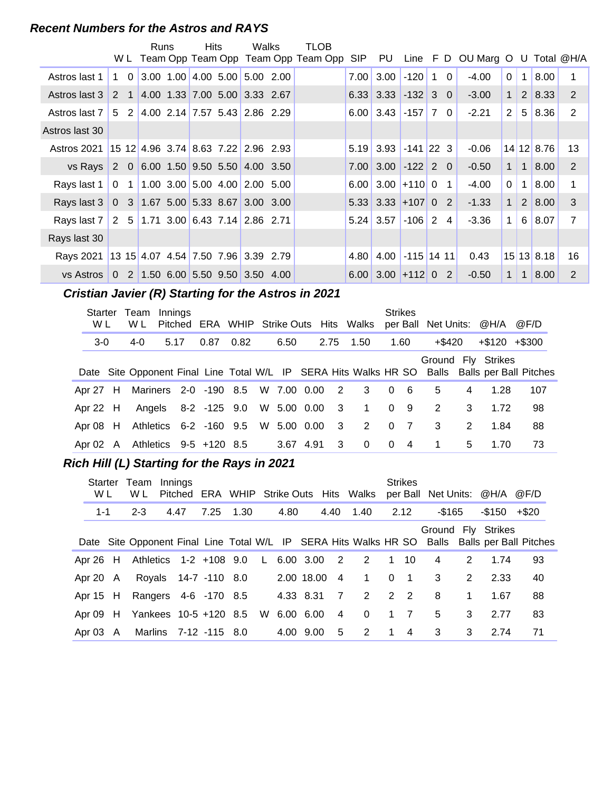#### **Recent Numbers for the Astros and RAYS**

|                                                       |            |                                   | <b>Runs</b> | Hits | Walks                           | TLOB                                    |      |                        |              |              |          |                                        |                      |                |                        |                |
|-------------------------------------------------------|------------|-----------------------------------|-------------|------|---------------------------------|-----------------------------------------|------|------------------------|--------------|--------------|----------|----------------------------------------|----------------------|----------------|------------------------|----------------|
|                                                       |            |                                   |             |      |                                 | W L Team Opp Team Opp Team Opp Team Opp |      |                        |              |              |          | SIP PU Line F D OU Marg O U Total @H/A |                      |                |                        |                |
| Astros last 1                                         | $1\quad 0$ |                                   |             |      | $3.00$ 1.00 4.00 5.00 5.00 2.00 |                                         | 7.00 | 3.00                   | $-120$       | $^{\circ}$ 1 | $\Omega$ | $-4.00$                                | $\Omega$             | $\mathbf{1}$   | 8.00                   |                |
| Astros last 3                                         |            | 2 1 4.00 1.33 7.00 5.00 3.33 2.67 |             |      |                                 |                                         |      | $6.33$ 3.33 -132 3 0   |              |              |          | $-3.00$                                | $\mathbf{1}$         |                | 2   8.33               | 2              |
| Astros last 7                                         | 5 2        |                                   |             |      | $4.00$ 2.14 7.57 5.43 2.86 2.29 |                                         |      | $6.00$ 3.43 -157 7 0   |              |              |          | $-2.21$                                | $\mathbf{2}^{\circ}$ | 5 <sup>1</sup> | 8.36                   | 2              |
| Astros last 30                                        |            |                                   |             |      |                                 |                                         |      |                        |              |              |          |                                        |                      |                |                        |                |
| Astros 2021   15 12 4.96 3.74   8.63 7.22   2.96 2.93 |            |                                   |             |      |                                 |                                         |      | $5.19$ 3.93 -141 22 3  |              |              |          | $-0.06$                                |                      |                | $14$ 12 8.76           | 13             |
| vs Rays                                               |            | 2 0 6.00 1.50 9.50 5.50 4.00 3.50 |             |      |                                 |                                         |      | $7.00$ 3.00 $-122$ 2 0 |              |              |          | $-0.50$                                | 1                    | $\mathbf{1}$   | 8.00                   | 2              |
| Rays last 1                                           |            | 0 1 1.00 3.00 5.00 4.00 2.00 5.00 |             |      |                                 |                                         |      | $6.00$ 3.00 + 110 0 1  |              |              |          | $-4.00$                                | $\Omega$             | $\mathbf{1}$   | 8.00                   | 1              |
| Rays last 3 0 3 1.67 5.00 5.33 8.67 3.00 3.00         |            |                                   |             |      |                                 |                                         |      | $5.33$ 3.33 + 107 0 2  |              |              |          | $-1.33$                                | 1 <sup>1</sup>       |                | 2 8.00                 | $\mathbf{3}$   |
| Rays last 7 2 5 1.71 3.00 6.43 7.14 2.86 2.71         |            |                                   |             |      |                                 |                                         |      | $5.24 \mid 3.57 \mid$  | $-106$ 2 4   |              |          | $-3.36$                                | $1 \vert$            | $6 \mid$       | 8.07                   | $\overline{7}$ |
| Rays last 30                                          |            |                                   |             |      |                                 |                                         |      |                        |              |              |          |                                        |                      |                |                        |                |
| Rays 2021 13 15 4.07 4.54 7.50 7.96 3.39 2.79         |            |                                   |             |      |                                 |                                         |      | $4.80$ 4.00            | $-115$ 14 11 |              |          | 0.43                                   |                      |                | $15 \,   13 \,   8.18$ | 16             |
| vs Astros 0 2 1.50 6.00 5.50 9.50 3.50 4.00           |            |                                   |             |      |                                 |                                         |      | $6.00$ 3.00 + 112 0 2  |              |              |          | $-0.50$                                | 1                    | $\mathbf{1}$   | 8.00                   | 2              |

# **..........Cristian Javier (R) Starting for the Astros in 2021**

| Starter<br>W L | Team<br>W L                                  | Innings |                                    |      |           |                         | Pitched ERA WHIP Strike Outs Hits Walks                          |          | <b>Strikes</b> | per Ball Net Units: @H/A |    |                    | @F/D                         |
|----------------|----------------------------------------------|---------|------------------------------------|------|-----------|-------------------------|------------------------------------------------------------------|----------|----------------|--------------------------|----|--------------------|------------------------------|
| $3-0$          | 4-0                                          | 5.17    | 0.87                               | 0.82 | 6.50      | 2.75                    | 1.50                                                             |          | 1.60           | +\$420                   |    | $+\$120 + \$300$   |                              |
|                |                                              |         |                                    |      |           |                         | Date Site Opponent Final Line Total W/L IP SERA Hits Walks HR SO |          |                |                          |    | Ground Fly Strikes | Balls Balls per Ball Pitches |
|                | Apr 27 H Mariners 2-0 -190 8.5 W 7.00 0.00 2 |         |                                    |      |           |                         | $3^{\circ}$                                                      | $\Omega$ | - 6            | 5                        | 4  | 1.28               | 107                          |
| Apr 22 H       |                                              |         |                                    |      |           |                         | Angels 8-2 -125 9.0 W 5.00 0.00 3 1                              |          | 0 9            | 2                        | 3  | 1.72               | 98                           |
| Apr 08 H       |                                              |         | Athletics 6-2 -160 9.5 W 5.00 0.00 |      |           | $\overline{\mathbf{3}}$ | 2 0                                                              |          | $\overline{7}$ | $\overline{\mathbf{3}}$  | 2  | 1.84               | 88                           |
| Apr 02 A       |                                              |         | Athletics 9-5 +120 8.5             |      | 3.67 4.91 | -3                      | $\Omega$                                                         | $\Omega$ | $\overline{4}$ | 1                        | 5. | 1.70               | 73                           |

#### **Rich Hill (L) Starting for the Rays in 2021**

| <b>Starter</b><br>W L | Team<br>W L                       | Innings |                       |      |      |               |                            | Pitched ERA WHIP Strike Outs Hits Walks |                | <b>Strikes</b> |           |                | per Ball Net Units: @H/A @F/D |                                                                                               |
|-----------------------|-----------------------------------|---------|-----------------------|------|------|---------------|----------------------------|-----------------------------------------|----------------|----------------|-----------|----------------|-------------------------------|-----------------------------------------------------------------------------------------------|
| $1 - 1$               | $2 - 3$                           | 4.47    | 7.25                  | 1.30 | 4.80 |               |                            | 4.40 1.40                               |                | 2.12           | $-$ \$165 |                | $-150 + 20$                   |                                                                                               |
|                       |                                   |         |                       |      |      |               |                            |                                         |                |                |           |                | Ground Fly Strikes            | Date Site Opponent Final Line Total W/L IP SERA Hits Walks HR SO Balls Balls per Ball Pitches |
| Apr 26 H              | Athletics 1-2 +108 9.0            |         |                       |      |      | L $6.00$ 3.00 | $\overline{\phantom{0}}^2$ | $\overline{2}$                          | $1 \quad 10$   |                | 4         | $\overline{2}$ | 1.74                          | 93                                                                                            |
| Apr 20 A              |                                   |         | Royals 14-7 -110 8.0  |      |      | 2.00 18.00 4  |                            | $\mathbf{1}$                            |                | $0 \quad 1$    | 3         | 2              | 2.33                          | 40                                                                                            |
| Apr $15$ H            | Rangers 4-6 -170 8.5              |         |                       |      |      | 4.33 8.31     | $\overline{7}$             | 2                                       |                | 2 2            | 8         | 1              | 1.67                          | 88                                                                                            |
| Apr 09 H              | Yankees 10-5 +120 8.5 W 6.00 6.00 |         |                       |      |      |               | $\overline{4}$             | $\Omega$                                |                | $1 \quad 7$    | 5         | $\mathcal{S}$  | 2.77                          | 83                                                                                            |
| Apr $03$ A            |                                   |         | Marlins 7-12 -115 8.0 |      |      | 4.00 9.00     | 5                          | 2                                       | $\overline{1}$ | $\overline{4}$ | 3         | 3              | 2.74                          | 71                                                                                            |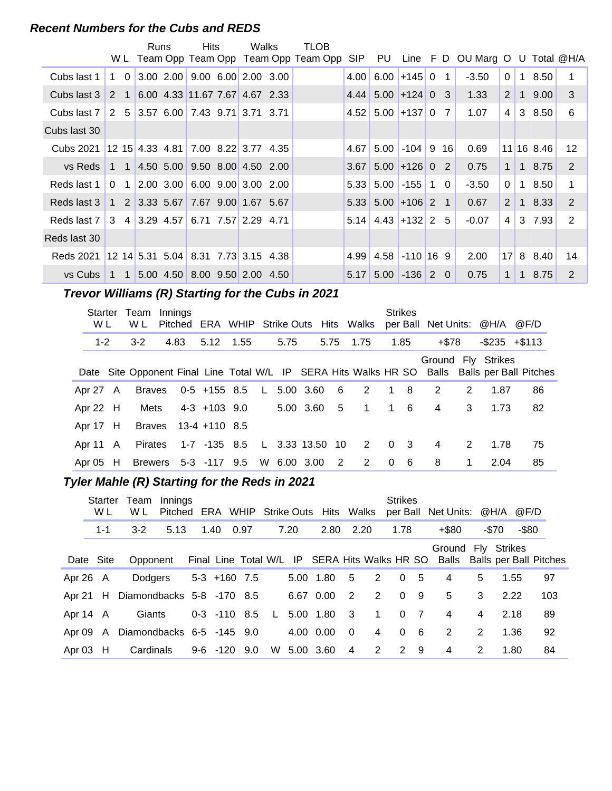#### **Recent Numbers for the Cubs and REDS**

|                                                       |             | Runs | <b>Hits</b>                                                                   | Walks | TLOB                                    |      |                                               |                  |                |                                        |                 |                |                       |                 |
|-------------------------------------------------------|-------------|------|-------------------------------------------------------------------------------|-------|-----------------------------------------|------|-----------------------------------------------|------------------|----------------|----------------------------------------|-----------------|----------------|-----------------------|-----------------|
|                                                       |             |      |                                                                               |       | W L Team Opp Team Opp Team Opp Team Opp |      |                                               |                  |                | SIP PU Line F D OU Marg O U Total @H/A |                 |                |                       |                 |
| Cubs last 1                                           | $1 \quad 0$ |      | $3.00$ $2.00$ $9.00$ $6.00$ $2.00$ $3.00$                                     |       |                                         | 4.00 |                                               | $6.00$ +145 0    | $\overline{1}$ | $-3.50$                                | $\Omega$        | $\mathbf 1$    | 8.50                  |                 |
| Cubs last 3                                           |             |      | 2 1 6.00 4.33 11.67 7.67 4.67 2.33                                            |       |                                         |      | $4.44 \mid 5.00 \mid +124 \mid 0 \mid 3 \mid$ |                  |                | 1.33                                   | 2 <sup>1</sup>  | $\overline{1}$ | 9.00 <sub>1</sub>     | 3               |
| Cubs last 7                                           |             |      | 2 5 3.57 6.00 7.43 9.71 3.71 3.71                                             |       |                                         |      | $4.52$ 5.00 +137 0 7                          |                  |                | 1.07                                   | 4               | 3 <sup>1</sup> | 8.50                  | 6               |
| Cubs last 30                                          |             |      |                                                                               |       |                                         |      |                                               |                  |                |                                        |                 |                |                       |                 |
| Cubs 2021                                             |             |      | $12$ 15 4.33 4.81 7.00 8.22 3.77 4.35                                         |       |                                         | 4.67 |                                               | $5.00$ -104 9 16 |                | 0.69                                   |                 |                | 11 16 8.46            | 12 <sup>2</sup> |
| vs Reds                                               |             |      | 1 1 4.50 5.00 9.50 8.00 4.50 2.00                                             |       |                                         | 3.67 |                                               | $5.00$ +126 0 2  |                | 0.75                                   | 1 <sup>1</sup>  |                | $1 \,   \, 8.75 \,  $ | 2               |
| Reds last 1                                           |             |      | $0 \quad 1 \quad 2.00 \quad 3.00 \quad 6.00 \quad 9.00 \quad 3.00 \quad 2.00$ |       |                                         | 5.33 |                                               | $5.00$ -155 1 0  |                | $-3.50$                                | 0 <sup>1</sup>  | 1 <sup>1</sup> | 8.50                  | 1               |
| Reds last 3                                           |             |      | $1 \quad 2 \quad 3.33 \quad 5.67 \quad 7.67 \quad 9.00 \quad 1.67 \quad 5.67$ |       |                                         |      | $5.33$ $5.00$ +106 2 1                        |                  |                | 0.67                                   | 2 <sup>1</sup>  | 1 <sup>1</sup> | 8.33                  | 2               |
| Reds last 7   3 4   3.29 4.57   6.71 7.57   2.29 4.71 |             |      |                                                                               |       |                                         |      | $5.14$ 4.43 + 132 2 5                         |                  |                | $-0.07$                                | 4 <sup>1</sup>  |                | $3 \mid 7.93$         | 2               |
| Reds last 30                                          |             |      |                                                                               |       |                                         |      |                                               |                  |                |                                        |                 |                |                       |                 |
| Reds 2021                                             |             |      | $12$ 14 5.31 5.04 8.31 7.73 3.15 4.38                                         |       |                                         |      | $4.99$   $4.58$   -110   16 9                 |                  |                | 2.00                                   | 17 <sup>1</sup> |                | $8 \mid 8.40$         | 14              |
| vs Cubs 1 1 5.00 4.50 8.00 9.50 2.00 4.50             |             |      |                                                                               |       |                                         | 5.17 |                                               | $5.00$ -136 2 0  |                | 0.75                                   | 1 <sup>1</sup>  | 1 <sup>1</sup> | 8.75                  | 2               |

# **Trevor Williams (R) Starting for the Cubs in 2021**

| Starter<br>W L | Team<br>W L   | Innings<br>Pitched   | ERA WHIP Strike Outs Hits Walks |  |              |           |                |          | <b>Strikes</b> | per Ball Net Units: @H/A |               |                     | @F/D                                                                                          |
|----------------|---------------|----------------------|---------------------------------|--|--------------|-----------|----------------|----------|----------------|--------------------------|---------------|---------------------|-----------------------------------------------------------------------------------------------|
| $1 - 2$        | $3 - 2$       | 4.83                 | 5.12 1.55                       |  | 5.75         | 5.75 1.75 |                |          | 1.85           | $+ $78$                  |               | $-$ \$235 $+$ \$113 |                                                                                               |
|                |               |                      |                                 |  |              |           |                |          |                |                          |               | Ground Fly Strikes  | Date Site Opponent Final Line Total W/L IP SERA Hits Walks HR SO Balls Balls per Ball Pitches |
| Apr 27 A       | <b>Braves</b> |                      | 0-5 +155 8.5 L                  |  | 5.00 3.60    | $-6$      | 2              |          | 1 8            | 2                        | 2             | 1.87                | 86                                                                                            |
| Apr 22 $H$     | Mets          |                      | 4-3 +103 9.0                    |  | 5.00 3.60 5  |           | 1              |          | $1\quad 6$     | $\overline{4}$           | 3             | 1.73                | 82                                                                                            |
| Apr 17 H       |               | Braves 13-4 +110 8.5 |                                 |  |              |           |                |          |                |                          |               |                     |                                                                                               |
| Apr 11 $\,$ A  | Pirates       |                      | 1-7 -135 8.5                    |  | L 3.33 13.50 | 10        | $\overline{2}$ | $\Omega$ | $\mathbf{3}$   | 4                        | $\mathcal{P}$ | 1.78                | 75                                                                                            |
| Apr $05$ H     |               | Brewers 5-3 -117 9.5 |                                 |  | W 6.00 3.00  | 2         | 2              | $\Omega$ | - 6            | 8                        | 1             | 2.04                | 85                                                                                            |

# **..........Tyler Mahle (R) Starting for the Reds in 2021**

|            | Starter<br>W L | Team<br>W L               | Innings |                  |      |              |      | Pitched ERA WHIP Strike Outs Hits Walks |                         |                | <b>Strikes</b> |                 | per Ball Net Units: @H/A @F/D                                                                    |   |       |          |     |
|------------|----------------|---------------------------|---------|------------------|------|--------------|------|-----------------------------------------|-------------------------|----------------|----------------|-----------------|--------------------------------------------------------------------------------------------------|---|-------|----------|-----|
|            | $1 - 1$        | $3 - 2$                   | 5.13    | 1.40             | 0.97 |              | 7.20 | 2.80                                    | 2.20                    |                | 1.78           |                 | $+$ \$80                                                                                         |   | -\$70 | $-$ \$80 |     |
|            | Date Site      | Opponent                  |         |                  |      |              |      |                                         |                         |                |                |                 | Ground Fly Strikes<br>Final Line Total W/L IP SERA Hits Walks HR SO Balls Balls per Ball Pitches |   |       |          |     |
| Apr $26$ A |                | Dodgers                   |         | $5-3$ +160 7.5   |      |              |      | 5.00 1.80 5                             |                         | 2              | $\Omega$       | - 5             | $\overline{4}$                                                                                   | 5 | 1.55  |          | 97  |
| Apr 21 H   |                | Diamondbacks 5-8 -170 8.5 |         |                  |      |              |      | 6.67 0.00                               | $\overline{2}$          | 2              | $\Omega$       | 9               | 5                                                                                                | 3 | 2.22  |          | 103 |
| Apr 14 A   |                | Giants                    |         | $0-3$ $-110$ 8.5 |      | $\mathsf{L}$ |      | 5.00 1.80 3                             |                         | $\overline{1}$ | 0 <sub>7</sub> |                 | $\overline{4}$                                                                                   | 4 | 2.18  |          | 89  |
| Apr 09 A   |                | Diamondbacks 6-5 -145 9.0 |         |                  |      |              |      | 4.00 0.00                               | $\overline{\mathbf{0}}$ | $\overline{4}$ | $\Omega$       | $6\overline{6}$ | 2                                                                                                | 2 | 1.36  |          | 92  |
| Apr $03$ H |                | Cardinals                 |         | 9-6 -120 9.0     |      |              |      | W 5.00 3.60                             | 4                       | 2              | 2 9            |                 | 4                                                                                                | 2 | 1.80  |          | 84  |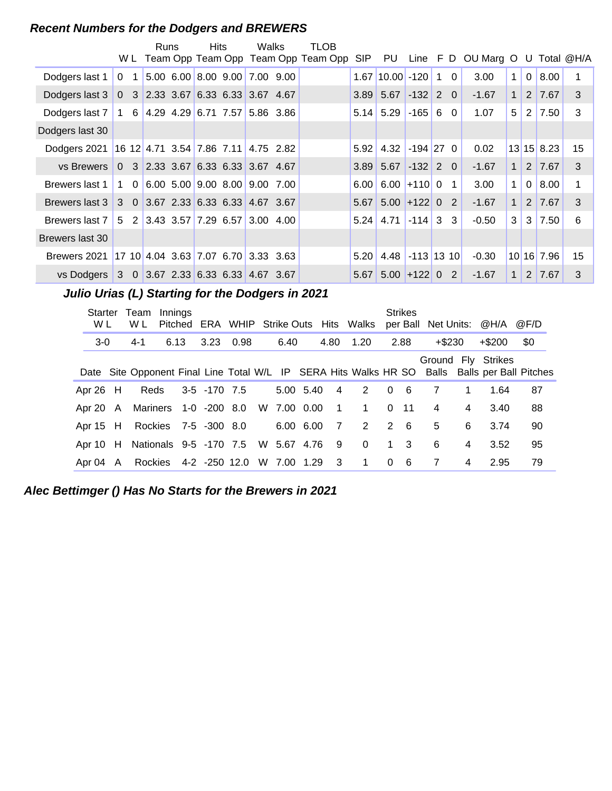#### **Recent Numbers for the Dodgers and BREWERS**

|                                                          |                | Runs | <b>Hits</b> | Walks                                                                         | TLOB<br>W L Team Opp Team Opp Team Opp Team Opp |      |                          |            |  | SIP PU Line F D OU Marg O U Total @H/A |                |                |                    |                  |
|----------------------------------------------------------|----------------|------|-------------|-------------------------------------------------------------------------------|-------------------------------------------------|------|--------------------------|------------|--|----------------------------------------|----------------|----------------|--------------------|------------------|
|                                                          |                |      |             |                                                                               |                                                 |      |                          |            |  |                                        |                |                |                    |                  |
| Dodgers last 1                                           | 0 <sub>1</sub> |      |             | 5.00 6.00 8.00 9.00 7.00 9.00                                                 |                                                 |      | $1.67$ 10.00 -120 1 0    |            |  | 3.00                                   | $\mathbf{1}$   | $\overline{0}$ | 8.00               | 1                |
| Dodgers last 3   0 3   2.33 3.67   6.33 6.33   3.67 4.67 |                |      |             |                                                                               |                                                 |      | $3.89$ 5.67 -132 2 0     |            |  | $-1.67$                                | $\mathbf{1}$   |                | $2 \mid 7.67 \mid$ | 3                |
| Dodgers last 7   1 6   4.29 4.29   6.71 7.57   5.86 3.86 |                |      |             |                                                                               |                                                 |      | $5.14$ 5.29              | $-165$ 6 0 |  | 1.07                                   | 5              | 2              | 7.50               | 3                |
| Dodgers last 30                                          |                |      |             |                                                                               |                                                 |      |                          |            |  |                                        |                |                |                    |                  |
| Dodgers 2021 16 12 4.71 3.54 7.86 7.11 4.75 2.82         |                |      |             |                                                                               |                                                 |      | $5.92$ 4.32 -194 27 0    |            |  | 0.02                                   |                |                | $13$ 15 8.23       | 15 <sub>15</sub> |
| vs Brewers                                               |                |      |             |                                                                               |                                                 |      | $3.89$ 5.67 -132 2 0     |            |  | $-1.67$                                | 1 <sup>1</sup> |                | 2 7.67             | 3                |
| Brewers last 1                                           |                |      |             | $1 \quad 0 \quad 6.00 \quad 5.00 \quad 9.00 \quad 8.00 \quad 9.00 \quad 7.00$ |                                                 |      | $6.00$ 6.00 + 110 0 1    |            |  | 3.00                                   | $\mathbf{1}$   | $\overline{0}$ | 8.00               | 1                |
| Brewers last 3 3 0 3.67 2.33 6.33 6.33 4.67 3.67         |                |      |             |                                                                               |                                                 |      | $5.67$ $5.00$ $+122$ 0 2 |            |  | $-1.67$                                | $\mathbf{1}$   |                | 2 7.67             | $\mathcal{S}$    |
| Brewers last 7   5 2   3.43 3.57   7.29 6.57   3.00 4.00 |                |      |             |                                                                               |                                                 |      | $5.24$ 4.71 -114 3 3     |            |  | $-0.50$                                | 3              | 3              | 7.50               | 6                |
| Brewers last 30                                          |                |      |             |                                                                               |                                                 |      |                          |            |  |                                        |                |                |                    |                  |
| Brewers 2021 17 10 4.04 3.63 7.07 6.70 3.33 3.63         |                |      |             |                                                                               |                                                 | 5.20 | $4.48$ -113 13 10        |            |  | $-0.30$                                |                |                | 10 16 7.96         | 15 <sub>1</sub>  |
| vs Dodgers 3 0 3.67 2.33 6.33 6.33 4.67 3.67             |                |      |             |                                                                               |                                                 |      | $5.67$ 5.00 + 122 0 2    |            |  | $-1.67$                                | $\mathbf{1}$   |                | 2 7.67             | 3                |

**..........Julio Urias (L) Starting for the Dodgers in 2021**

| Starter<br>W L | Team<br>W L                     | Innings<br>Pitched |                                   |  |             |                         | ERA WHIP Strike Outs Hits Walks |                         | <b>Strikes</b> | per Ball Net Units: @H/A |                |                    | @F/D                                                                                          |
|----------------|---------------------------------|--------------------|-----------------------------------|--|-------------|-------------------------|---------------------------------|-------------------------|----------------|--------------------------|----------------|--------------------|-----------------------------------------------------------------------------------------------|
| $3-0$          | 4-1                             | 6.13               | 3.23 0.98                         |  | 6.40        | 4.80                    | 1.20                            |                         | 2.88           | $+$ \$230                |                | $+$ \$200          | \$0                                                                                           |
|                |                                 |                    |                                   |  |             |                         |                                 |                         |                |                          |                | Ground Fly Strikes | Date Site Opponent Final Line Total W/L IP SERA Hits Walks HR SO Balls Balls per Ball Pitches |
| Apr $26$ H     | Reds                            |                    | 3-5 -170 7.5                      |  | 5.00 5.40   | $\overline{\mathbf{4}}$ | 2                               | $\overline{0}$          | - 6            | 7                        | 1              | 1.64               | 87                                                                                            |
|                | Apr 20 A Mariners 1-0 -200 8.0  |                    |                                   |  | W 7.00 0.00 | $\overline{1}$          | $\mathbf 1$                     | $\Omega$                | $-11$          | 4                        | 4              | 3.40               | 88                                                                                            |
| Apr 15 H       |                                 |                    | Rockies 7-5 -300 8.0              |  | 6.00 6.00   | $\overline{7}$          | 2                               | 2                       | - 6            | 5                        | 6              | 3.74               | 90                                                                                            |
|                | Apr 10 H Nationals 9-5 -170 7.5 |                    |                                   |  | W 5.67 4.76 | - 9                     | $\Omega$                        |                         | $1 \quad 3$    | 6                        | 4              | 3.52               | 95                                                                                            |
| Apr 04 A       |                                 |                    | Rockies 4-2 -250 12.0 W 7.00 1.29 |  |             | $\overline{\mathbf{3}}$ | $\mathbf{1}$                    | $\overline{\mathbf{0}}$ | - 6            | 7                        | $\overline{4}$ | 2.95               | 79                                                                                            |

**Alec Bettimger () Has No Starts for the Brewers in 2021**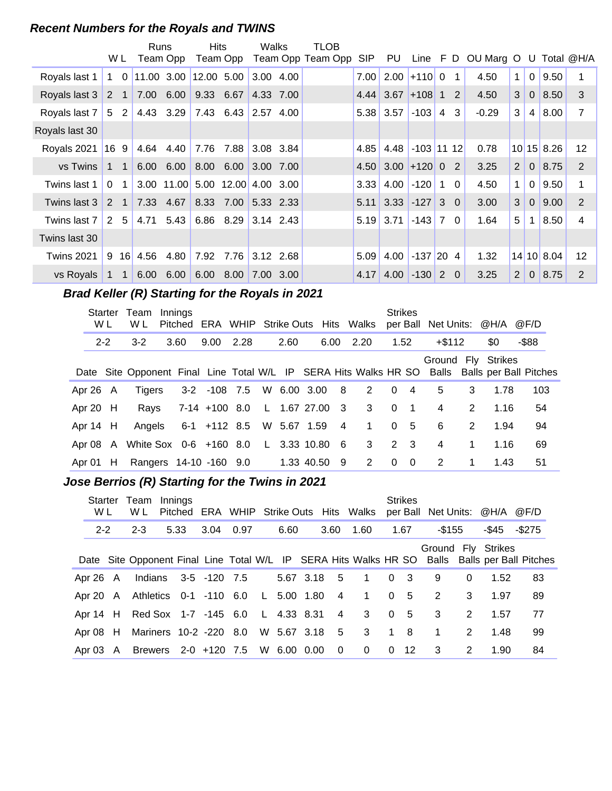#### **Recent Numbers for the Royals and TWINS**

|                   |              |                | Runs         |                   | Hits       |                      | Walks     | TLOB              |            |                      |                   |                |          |                                 |                |                |              |                   |
|-------------------|--------------|----------------|--------------|-------------------|------------|----------------------|-----------|-------------------|------------|----------------------|-------------------|----------------|----------|---------------------------------|----------------|----------------|--------------|-------------------|
|                   |              | W L            |              | Team Opp          |            | Team Opp             |           | Team Opp Team Opp | <b>SIP</b> | PU                   |                   |                |          | Line F D OU Marg O U Total @H/A |                |                |              |                   |
| Royals last 1     |              | $1\quad 0$     | $11.00$ 3.00 |                   | 12.00 5.00 |                      | 3.00 4.00 |                   | 7.00       |                      | $2.00 + 11000$    |                | 1        | 4.50                            | $\mathbf{1}$   | $\mathbf 0$    | 9.50         |                   |
| Royals last 3     |              | 2 1            |              | 7.00 6.00         |            | 9.33 6.67            | 4.33 7.00 |                   |            | $4.44 \, \, 3.67$    | $ +108 1$         |                | 2        | 4.50                            | 3              | $\overline{0}$ | 8.50         | 3                 |
| Royals last 7     |              | $5\quad2$      |              | 4.43 3.29         |            |                      |           |                   |            | $5.38$ 3.57          | $-103$            | $\overline{4}$ | 3        | $-0.29$                         | 3              | 4              | 8.00         | 7                 |
| Royals last 30    |              |                |              |                   |            |                      |           |                   |            |                      |                   |                |          |                                 |                |                |              |                   |
| Royals 2021       | 169          |                |              | 4.64 4.40         |            | 7.76 7.88 3.08 3.84  |           |                   | 4.85       |                      | $4.48$ -103 11 12 |                |          | 0.78                            |                |                | $10$ 15 8.26 | 12                |
| vs Twins          |              | $1 \quad 1$    |              | $6.00 \quad 6.00$ |            | 8.00 6.00 3.00 7.00  |           |                   |            | $4.50$ 3.00 + 120 0  |                   |                | 2        | 3.25                            | $\overline{2}$ | $\overline{0}$ | 8.75         | 2                 |
| Twins last 1      | $\Omega$     | 1              |              | 3.00 11.00        |            | 5.00 12.00 4.00 3.00 |           |                   | 3.33       |                      | $4.00$ $-120$ 1   |                | $\Omega$ | 4.50                            | 1              | $\mathbf{0}$   | 9.50         |                   |
| Twins last 3      |              | $2 \quad 1$    |              | 7.33 4.67         |            | 8.33 7.00 5.33 2.33  |           |                   |            | $5.11$ 3.33 -127 3 0 |                   |                |          | 3.00                            | 3              | $\Omega$       | 9.00         | 2                 |
| Twins last 7      |              | 2 <sub>5</sub> |              | 4.71 5.43         |            | 6.86 8.29 3.14 2.43  |           |                   | 5.19       | 3.71                 | $-143$ 7          |                | $\Omega$ | 1.64                            | 5              | 1              | 8.50         | 4                 |
| Twins last 30     |              |                |              |                   |            |                      |           |                   |            |                      |                   |                |          |                                 |                |                |              |                   |
| <b>Twins 2021</b> |              | $9 \t16$       | 4.56         | 4.80              |            | 7.92 7.76            | 3.12 2.68 |                   | 5.09       |                      | $4.00$ -137 20    |                | -4       | 1.32                            |                |                | $14$ 10 8.04 | $12 \overline{ }$ |
| vs Royals         | $\mathbf{1}$ | $\overline{1}$ | 6.00         | 6.00              |            | 6.00 8.00            | 7.00 3.00 |                   | 4.17       | 4.00                 | $-130$            | 2              | $\Omega$ | 3.25                            | 2              | $\Omega$       | 8.75         | 2                 |

# **Brad Keller (R) Starting for the Royals in 2021**

|          | <b>Starter</b><br>W L | Team<br>W L                                                                                   | Innings |               |                            |      |                |                | Pitched ERA WHIP Strike Outs Hits Walks | <b>Strikes</b> |                |           |   | per Ball Net Units: @H/A @F/D |          |  |
|----------|-----------------------|-----------------------------------------------------------------------------------------------|---------|---------------|----------------------------|------|----------------|----------------|-----------------------------------------|----------------|----------------|-----------|---|-------------------------------|----------|--|
| $2 - 2$  |                       | $3-2$                                                                                         | 3.60    | 9.00          | 2.28                       | 2.60 |                | 6.00           | 2.20                                    | 1.52           |                | $+$ \$112 |   | \$0                           | $-$ \$88 |  |
|          |                       | Date Site Opponent Final Line Total W/L IP SERA Hits Walks HR SO Balls Balls per Ball Pitches |         |               |                            |      |                |                |                                         |                |                |           |   | Ground Fly Strikes            |          |  |
| Apr 26 A |                       | Tigers                                                                                        |         |               | 3-2 -108 7.5 W 6.00 3.00 8 |      |                |                | 2                                       |                | $0\quad 4$     | 5         | 3 | 1.78                          | 103      |  |
| Apr 20 H |                       | Rays                                                                                          |         | 7-14 +100 8.0 |                            |      | L 1.67 27.00 3 |                | 3                                       | $\Omega$       | $\overline{1}$ | 4         | 2 | 1.16                          | 54       |  |
| Apr 14 H |                       | Angels 6-1 +112 8.5 W 5.67 1.59                                                               |         |               |                            |      |                | $\overline{4}$ | $\overline{1}$                          |                | 0 <sub>5</sub> | 6         | 2 | 1.94                          | 94       |  |
| Apr 08 A |                       | White Sox 0-6 +160 8.0                                                                        |         |               |                            |      | L 3.33 10.80   | - 6            | 3 <sup>1</sup>                          |                | $2 \quad 3$    | 4         | 1 | 1.16                          | 69       |  |
| Apr 01   | - H                   | Rangers 14-10 -160 9.0                                                                        |         |               |                            |      | 1.33 40.50     | 9              | 2                                       | $\Omega$       | $\overline{0}$ | 2         | 1 | 1.43                          | 51       |  |

# **..........Jose Berrios (R) Starting for the Twins in 2021**

| Starter<br>W L | Team<br>W L                                 | Innings |                      |      |      |             |                         |                     |                | <b>Strikes</b> |                         |          | Pitched ERA WHIP Strike Outs Hits Walks per Ball Net Units: @H/A @F/D |                                                                                               |
|----------------|---------------------------------------------|---------|----------------------|------|------|-------------|-------------------------|---------------------|----------------|----------------|-------------------------|----------|-----------------------------------------------------------------------|-----------------------------------------------------------------------------------------------|
| $2 - 2$        | $2 - 3$                                     | 5.33    | 3.04                 | 0.97 | 6.60 |             | 3.60                    | 1.60                |                | 1.67           | -\$155                  |          | -\$45                                                                 | -\$275                                                                                        |
|                |                                             |         |                      |      |      |             |                         |                     |                |                |                         |          | Ground Fly Strikes                                                    | Date Site Opponent Final Line Total W/L IP SERA Hits Walks HR SO Balls Balls per Ball Pitches |
| Apr 26 A       |                                             |         | Indians 3-5 -120 7.5 |      |      | 5.67 3.18 5 |                         | $1 \quad 0 \quad 3$ |                |                | 9                       | $\Omega$ | 1.52                                                                  | 83                                                                                            |
|                | Apr 20 A Athletics 0-1 -110 6.0 L 5.00 1.80 |         |                      |      |      |             | $\overline{4}$          | $\overline{1}$      | 0 <sub>5</sub> |                | 2                       | 3        | 1.97                                                                  | 89                                                                                            |
|                | Apr 14 H Red Sox 1-7 -145 6.0 L 4.33 8.31   |         |                      |      |      |             | $\overline{4}$          | $3 \t0 \t5$         |                |                | $\overline{\mathbf{3}}$ | 2        | 1.57                                                                  | 77                                                                                            |
| Apr $08$ H     | Mariners 10-2 -220 8.0 W 5.67 3.18          |         |                      |      |      |             |                         | 5 3 1 8             |                |                | $\mathbf 1$             | 2        | 1.48                                                                  | 99                                                                                            |
|                | Apr 03 A Brewers 2-0 +120 7.5 W 6.00 0.00   |         |                      |      |      |             | $\overline{\mathbf{0}}$ | $\overline{0}$      | $\Omega$       | 12             | $\overline{\mathbf{3}}$ | 2        | 1.90                                                                  | 84                                                                                            |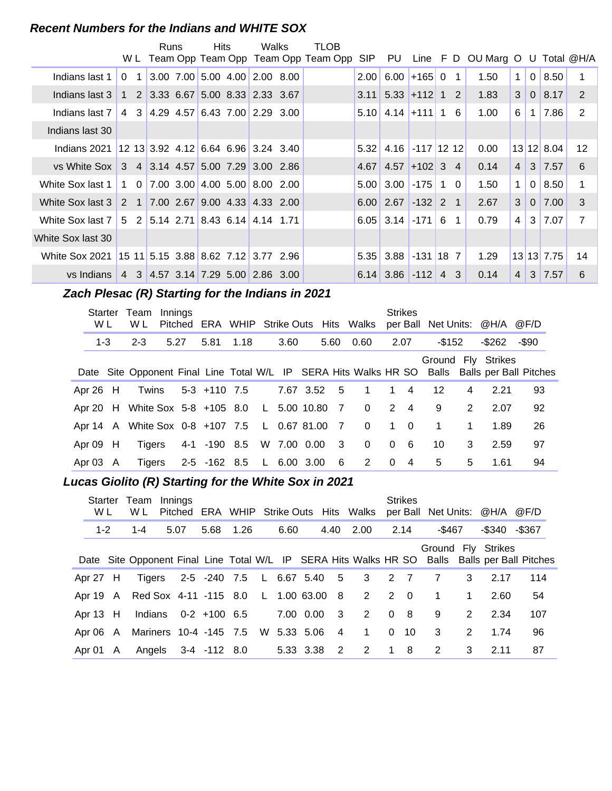#### **Recent Numbers for the Indians and WHITE SOX**

|                                                            |   | Runs | <b>Hits</b> | Walks                                                                        | TLOB                                    |            |                                          |                 |                |                                 |                |                |               |    |
|------------------------------------------------------------|---|------|-------------|------------------------------------------------------------------------------|-----------------------------------------|------------|------------------------------------------|-----------------|----------------|---------------------------------|----------------|----------------|---------------|----|
|                                                            |   |      |             |                                                                              | W L Team Opp Team Opp Team Opp Team Opp | <b>SIP</b> | PU                                       |                 |                | Line F D OU Marg O U Total @H/A |                |                |               |    |
| Indians last 1                                             |   |      |             | $0$ 1 3.00 7.00 5.00 4.00 2.00 8.00                                          |                                         | 2.00       | 6.00                                     | $+165$ 0        | $\mathbf{1}$   | 1.50                            | $\mathbf 1$    | $\Omega$       | 8.50          |    |
| Indians last 3                                             |   |      |             | $1\quad 2 \quad 3.33 \quad 6.67 \quad 5.00 \quad 8.33 \quad 2.33 \quad 3.67$ |                                         |            | $3.11 \mid 5.33 \mid +112 \mid 1 \mid 2$ |                 |                | 1.83                            | 3              | $\overline{0}$ | 8.17          | 2  |
| Indians last 7                                             | 4 |      |             | $3 \mid 4.29 \mid 4.57 \mid 6.43 \mid 7.00 \mid 2.29 \mid 3.00$              |                                         |            | $5.10$   4.14   +111   1 6               |                 |                | 1.00                            | 6              | $\mathbf 1$    | 7.86          | 2  |
| Indians last 30                                            |   |      |             |                                                                              |                                         |            |                                          |                 |                |                                 |                |                |               |    |
| Indians 2021                                               |   |      |             | $12$ 13 3.92 4.12 6.64 6.96 3.24 3.40                                        |                                         | 5.32       |                                          | 4.16 -117 12 12 |                | 0.00                            |                |                | $13$ 12 8.04  | 12 |
| vs White Sox 3 4 3.14 4.57 5.00 7.29 3.00 2.86             |   |      |             |                                                                              |                                         |            | $4.67$ 4.57 + 102 3 4                    |                 |                | 0.14                            | $\overline{4}$ |                | $3 \mid 7.57$ | 6  |
| White Sox last 1                                           |   |      |             | $1 \t0 \t7.00 \t3.00 \t4.00 \t5.00 \t8.00 \t2.00$                            |                                         | 5.00       | 3.00                                     | $-175$ 1        | $\Omega$       | 1.50                            | $\mathbf 1$    | $\Omega$       | 8.50          | 1  |
| White Sox last 3                                           |   |      |             | 2 1 7.00 2.67 9.00 4.33 4.33 2.00                                            |                                         |            | $6.00$ 2.67 -132 2                       |                 | $\overline{1}$ | 2.67                            | 3              | $\Omega$       | 7.00          | 3  |
| White Sox last 7   5 2   5.14 2.71   8.43 6.14   4.14 1.71 |   |      |             |                                                                              |                                         |            | $6.05$ 3.14 -171 6                       |                 | -1             | 0.79                            | $\overline{4}$ |                | 3 7.07        | 7  |
| White Sox last 30                                          |   |      |             |                                                                              |                                         |            |                                          |                 |                |                                 |                |                |               |    |
| White Sox 2021 15 11 5.15 3.88 8.62 7.12 3.77 2.96         |   |      |             |                                                                              |                                         |            | $5.35$ 3.88                              | $-131$ 18 7     |                | 1.29                            |                |                | 13 13 7.75    | 14 |
| vs Indians                                                 |   |      |             | 4 3 4.57 3.14 7.29 5.00 2.86 3.00                                            |                                         |            | $6.14$ 3.86 $-112$ 4 3                   |                 |                | 0.14                            | $\overline{4}$ |                | $3 \mid 7.57$ | 6  |

# **Zach Plesac (R) Starting for the Indians in 2021**

| Starter<br>W L | Team<br>W L                                  | Innings |                          |  |             |                         | Pitched ERA WHIP Strike Outs Hits Walks |          | <b>Strikes</b> |             |             | per Ball Net Units: @H/A @F/D                                                                                       |       |  |
|----------------|----------------------------------------------|---------|--------------------------|--|-------------|-------------------------|-----------------------------------------|----------|----------------|-------------|-------------|---------------------------------------------------------------------------------------------------------------------|-------|--|
| $1 - 3$        | $2 - 3$                                      | 5.27    | 5.81 1.18                |  | 3.60        | 5.60                    | 0.60                                    |          | 2.07           | -\$152      |             | -\$262                                                                                                              | -\$90 |  |
|                |                                              |         |                          |  |             |                         |                                         |          |                |             |             | Ground Fly Strikes<br>Date Site Opponent Final Line Total W/L IP SERA Hits Walks HR SO Balls Balls per Ball Pitches |       |  |
| Apr $26$ H     | Twins                                        |         | 5-3 +110 7.5             |  | 7.67 3.52 5 |                         | $\overline{\mathbf{1}}$                 |          | $1 \quad 4$    | 12          | 4           | 2.21                                                                                                                | 93    |  |
|                | Apr 20 H White Sox 5-8 +105 8.0 L 5.00 10.80 |         |                          |  |             | $\overline{7}$          | $\overline{0}$                          |          | $2 \quad 4$    | 9           | 2           | 2.07                                                                                                                | 92    |  |
|                | Apr 14 A White Sox 0-8 +107 7.5 L 0.67 81.00 |         |                          |  |             | 7                       | $\Omega$                                |          | $1 \quad 0$    | $\mathbf 1$ | $\mathbf 1$ | 1.89                                                                                                                | 26    |  |
| Apr $09$ H     | Tigers                                       |         | 4-1 -190 8.5             |  | W 7.00 0.00 | $\overline{\mathbf{3}}$ | $\Omega$                                |          | 0 <sub>6</sub> | 10          | 3           | 2.59                                                                                                                | 97    |  |
| Apr 03 A       | Tigers                                       |         | 2-5 -162 8.5 L 6.00 3.00 |  |             | $6^{\circ}$             | 2                                       | $\Omega$ | $\overline{4}$ | 5           | 5           | 1.61                                                                                                                | 94    |  |

#### **Lucas Giolito (R) Starting for the White Sox in 2021**

| Starter<br>W L | Team<br>W L                                   | Innings |                         |           |           |           |                         | Pitched ERA WHIP Strike Outs Hits Walks per Ball Net Units: @H/A @F/D |          | <b>Strikes</b> |                          |   |                     |                                                                                               |
|----------------|-----------------------------------------------|---------|-------------------------|-----------|-----------|-----------|-------------------------|-----------------------------------------------------------------------|----------|----------------|--------------------------|---|---------------------|-----------------------------------------------------------------------------------------------|
| $1 - 2$        | $1 - 4$                                       | 5.07    |                         | 5.68 1.26 | 6.60      |           | 4.40                    | 2.00 2.14                                                             |          |                | -\$467                   |   | $-$ \$340 $-$ \$367 |                                                                                               |
|                |                                               |         |                         |           |           |           |                         |                                                                       |          |                |                          |   | Ground Fly Strikes  | Date Site Opponent Final Line Total W/L IP SERA Hits Walks HR SO Balls Balls per Ball Pitches |
| Apr 27 H       | Tigers                                        |         |                         |           |           |           |                         | 2-5 -240 7.5 L 6.67 5.40 5 3 2 7                                      |          |                | $\overline{7}$           | 3 | 2.17                | 114                                                                                           |
|                | Apr 19 A Red Sox 4-11 -115 8.0 L 1.00 63.00 8 |         |                         |           |           |           |                         | $2 \t2 \t0$                                                           |          |                | $\overline{\phantom{1}}$ | 1 | 2.60                | 54                                                                                            |
| Apr $13$ H     |                                               |         | Indians $0-2 + 100$ 6.5 |           | 7.00 0.00 |           | $\overline{\mathbf{3}}$ | 2 0 8                                                                 |          |                | 9                        | 2 | 2.34                | 107                                                                                           |
| Apr 06 A       | Mariners 10-4 -145 7.5 W 5.33 5.06            |         |                         |           |           |           | $\overline{4}$          | $\mathbf 1$                                                           | $\Omega$ | - 10           | 3                        | 2 | 1.74                | 96                                                                                            |
| Apr 01 A       |                                               |         | Angels 3-4 -112 8.0     |           |           | 5.33 3.38 | $\overline{2}$          | 2                                                                     | 1        | -8             | 2                        | 3 | 2.11                | 87                                                                                            |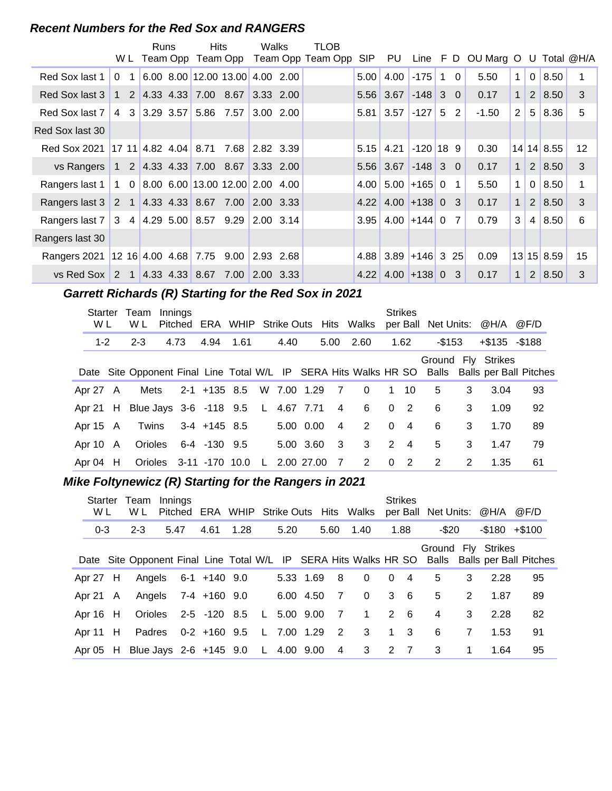#### **Recent Numbers for the Red Sox and RANGERS**

|                                                  |                |                | Runs | Hits                                                                          |                  | Walks          |           | TLOB                                    |            |                       |                |             |                |                                     |              |                |            |    |
|--------------------------------------------------|----------------|----------------|------|-------------------------------------------------------------------------------|------------------|----------------|-----------|-----------------------------------------|------------|-----------------------|----------------|-------------|----------------|-------------------------------------|--------------|----------------|------------|----|
|                                                  |                |                |      |                                                                               |                  |                |           | W L Team Opp Team Opp Team Opp Team Opp | <b>SIP</b> | PU                    |                |             |                | Line $F D$ OU Marg O U Total $@H/A$ |              |                |            |    |
| Red Sox last 1                                   | $\Omega$       | 1              |      | 6.00 8.00 12.00 13.00 4.00 2.00                                               |                  |                |           |                                         | 5.00       | 4.00                  | $-175$         | $\mathbf 1$ | $\Omega$       | 5.50                                | $\mathbf 1$  | $\overline{0}$ | 8.50       |    |
| Red Sox last 3                                   | $\mathbf{1}$   |                |      | 2 4.33 4.33 7.00 8.67                                                         |                  | 3.33 2.00      |           |                                         |            | $5.56$ 3.67 -148 3 0  |                |             |                | 0.17                                | $\mathbf{1}$ |                | 2 8.50     | 3  |
| Red Sox last 7                                   | $\overline{4}$ |                |      | $3 3.29 3.57 5.86$ 7.57                                                       |                  |                | 3.00 2.00 |                                         |            | $5.81$ 3.57           | $-127$ 5       |             | $\overline{2}$ | $-1.50$                             | 2            | 5              | 8.36       | 5  |
| Red Sox last 30                                  |                |                |      |                                                                               |                  |                |           |                                         |            |                       |                |             |                |                                     |              |                |            |    |
| <b>Red Sox 2021</b>                              |                |                |      | $17 \t11 \t4.82 \t4.04 \t8.71$                                                |                  | 7.68 2.82 3.39 |           |                                         | 5.15       | 4.21                  | $-120$ 18 9    |             |                | 0.30                                |              |                | 14 14 8.55 | 12 |
| vs Rangers                                       |                |                |      | $1 \quad 2 \quad 4.33 \quad 4.33 \quad 7.00 \quad 8.67 \quad 3.33 \quad 2.00$ |                  |                |           |                                         |            | $5.56$ 3.67 -148 3 0  |                |             |                | 0.17                                | $\mathbf{1}$ |                | 2 8.50     | 3  |
| Rangers last 1                                   |                |                |      | $8.00$ 6.00 13.00 12.00 2.00 4.00                                             |                  |                |           |                                         | 4.00       |                       | $5.00$ +165 0  |             | $\mathbf 1$    | 5.50                                | 1            | $\mathbf 0$    | 8.50       |    |
| Rangers last 3 2 1 4.33 4.33 8.67 7.00 2.00 3.33 |                |                |      |                                                                               |                  |                |           |                                         |            | $4.22$ 4.00 + 138 0 3 |                |             |                | 0.17                                | $\mathbf{1}$ |                | 2   8.50   | 3  |
| Rangers last 7                                   |                |                |      | $3\quad 4 \mid 4.29 \mid 5.00 \mid 8.57 \mid 9.29 \mid 2.00 \mid 3.14$        |                  |                |           |                                         | 3.95       |                       | $4.00 + 144$ 0 |             | $\overline{7}$ | 0.79                                | 3            | 4              | 8.50       | 6  |
| Rangers last 30                                  |                |                |      |                                                                               |                  |                |           |                                         |            |                       |                |             |                |                                     |              |                |            |    |
| Rangers 2021 12 16 4.00 4.68 7.75                |                |                |      |                                                                               | $9.00$ 2.93 2.68 |                |           |                                         |            | $4.88$ 3.89 + 146 3   |                |             | 25             | 0.09                                |              |                | 13 15 8.59 | 15 |
| vs Red Sox                                       | 2              | $\overline{1}$ |      | $ 4.33 \t4.33 \t  8.67$                                                       | 7.00             | 2.00 3.33      |           |                                         | 4.22       |                       | $4.00 + 138$ 0 |             | 3              | 0.17                                | $\mathbf{1}$ | 2              | 8.50       | 3  |

# **Garrett Richards (R) Starting for the Red Sox in 2021**

| Starter<br>W L | Team<br>W L                                 | Innings<br>Pitched |                          |      |              |            |           |                | ERA WHIP Strike Outs Hits Walks |              | <b>Strikes</b> |           |   | per Ball Net Units: @H/A @F/D |                                                                                               |
|----------------|---------------------------------------------|--------------------|--------------------------|------|--------------|------------|-----------|----------------|---------------------------------|--------------|----------------|-----------|---|-------------------------------|-----------------------------------------------------------------------------------------------|
| $1 - 2$        | $2 - 3$                                     | 4.73               | 4.94                     | 1.61 |              | 4.40       |           |                | 5.00 2.60                       |              | 1.62           | $-$ \$153 |   | $+\$135 - \$188$              |                                                                                               |
|                |                                             |                    |                          |      |              |            |           |                |                                 |              |                |           |   | Ground Fly Strikes            | Date Site Opponent Final Line Total W/L IP SERA Hits Walks HR SO Balls Balls per Ball Pitches |
| Apr 27 A       | Mets                                        |                    | 2-1 +135 8.5 W 7.00 1.29 |      |              |            |           | $\overline{7}$ | $\Omega$                        | $\mathbf 1$  | 10             | 5         | 3 | 3.04                          | 93                                                                                            |
|                | Apr 21 H Blue Jays 3-6 -118 9.5 L 4.67 7.71 |                    |                          |      |              |            |           | 4              | 6                               | 0            | $\overline{2}$ | 6         | 3 | 1.09                          | 92                                                                                            |
| Apr 15 A       |                                             |                    | Twins 3-4 +145 8.5       |      |              |            | 5.00 0.00 | $\overline{4}$ | 2                               | $\mathbf{0}$ | $\overline{4}$ | 6         | 3 | 1.70                          | 89                                                                                            |
| Apr 10 A       |                                             |                    | Orioles 6-4 -130 9.5     |      |              |            | 5.00 3.60 | $\mathbf{3}$   | 3                               | 2            | $\overline{4}$ | 5         | 3 | 1.47                          | 79                                                                                            |
| Apr $04$ H     |                                             |                    | Orioles 3-11 -170 10.0   |      | $\mathsf{L}$ | 2.00 27.00 |           | 7              | 2                               | $\Omega$     | $\overline{2}$ | 2         | 2 | 1.35                          | 61                                                                                            |

# **Mike Foltynewicz (R) Starting for the Rangers in 2021**

| Starter<br>W L | Team<br>W L                                 | Innings |                     |      |      |               |                         | Pitched ERA WHIP Strike Outs Hits Walks |                  | <b>Strikes</b> | per Ball Net Units: @H/A |                |                 | @F/D                                                                                          |
|----------------|---------------------------------------------|---------|---------------------|------|------|---------------|-------------------------|-----------------------------------------|------------------|----------------|--------------------------|----------------|-----------------|-----------------------------------------------------------------------------------------------|
| $0 - 3$        | $2 - 3$                                     | 5.47    | 4.61                | 1.28 | 5.20 |               | 5.60                    | 1.40                                    |                  | 1.88           | -\$20                    |                | $-$180$ $+$100$ |                                                                                               |
|                |                                             |         |                     |      |      |               |                         |                                         |                  |                | Ground Fly Strikes       |                |                 | Date Site Opponent Final Line Total W/L IP SERA Hits Walks HR SO Balls Balls per Ball Pitches |
| Apr $27$ H     |                                             |         | Angels 6-1 +140 9.0 |      |      | 5.33 1.69     | - 8                     | $\Omega$                                | $\Omega$         | $\overline{4}$ | 5                        | 3              | 2.28            | 95                                                                                            |
| Apr 21 $\,$ A  | Angels                                      |         | 7-4 +160 9.0        |      |      | 6.00 4.50     | $\overline{7}$          | $\Omega$                                |                  | $3\quad 6$     | 5                        | 2              | 1.87            | 89                                                                                            |
| Apr $16$ H     | Orioles                                     |         | 2-5 -120 8.5        |      |      | $L$ 5.00 9.00 | $\overline{7}$          | $\mathbf{1}$                            | 2                | - 6            | 4                        | 3              | 2.28            | 82                                                                                            |
| Apr 11 H       | Padres                                      |         | $0-2$ +160 9.5      |      |      | L 7.00 1.29   | $\overline{2}$          | 3                                       | $1 \quad 3$      |                | 6                        | $\overline{7}$ | 1.53            | 91                                                                                            |
|                | Apr 05 H Blue Jays 2-6 +145 9.0 L 4.00 9.00 |         |                     |      |      |               | $\overline{\mathbf{4}}$ | $\mathbf{3}$                            | $2 \overline{7}$ |                | 3                        | 1              | 1.64            | 95                                                                                            |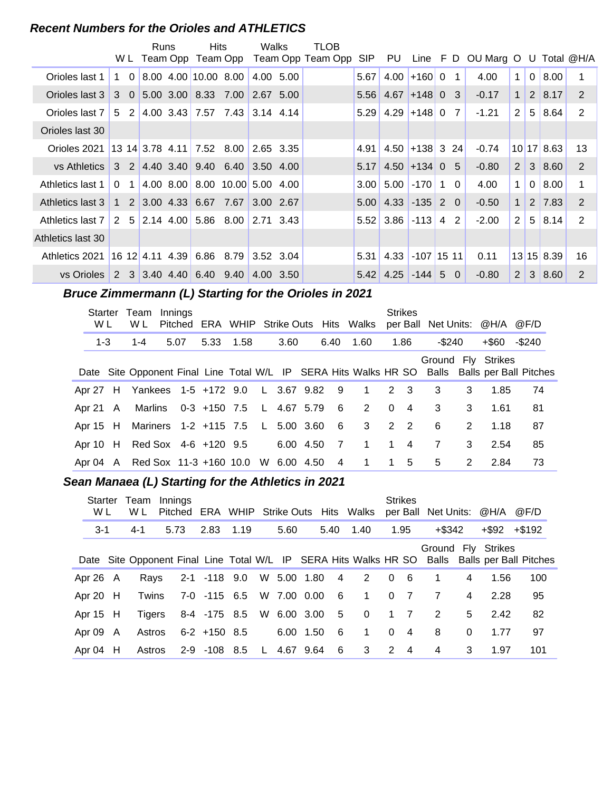#### **Recent Numbers for the Orioles and ATHLETICS**

|                   |                         | <b>Runs</b>                                                                   | <b>Hits</b> | Walks     |           | <b>TLOB</b><br>W L Team Opp Team Opp Team Opp Team Opp | SIP  | PU                       |                 |                | Line F D OU Marg O U Total @H/A |              |                |                    |    |
|-------------------|-------------------------|-------------------------------------------------------------------------------|-------------|-----------|-----------|--------------------------------------------------------|------|--------------------------|-----------------|----------------|---------------------------------|--------------|----------------|--------------------|----|
| Orioles last 1    | $1\quad 0$              | 8.00 4.00 10.00 8.00                                                          |             |           | 4.00 5.00 |                                                        | 5.67 |                          | $4.00 + 16000$  | 1              | 4.00                            | $\mathbf{1}$ | $\mathbf 0$    | 8.00               |    |
| Orioles last 3    |                         | $3 \quad 0 \quad 5.00 \quad 3.00 \quad 8.33 \quad 7.00 \quad 2.67 \quad 5.00$ |             |           |           |                                                        | 5.56 |                          | $4.67 + 148003$ |                | $-0.17$                         | $\mathbf{1}$ | 2 <sup>1</sup> | 8.17               | 2  |
| Orioles last 7    | 2<br>.5                 | $4.00$ 3.43 7.57 7.43 3.14 4.14                                               |             |           |           |                                                        | 5.29 | $4.29$ +148 0            |                 | 7              | $-1.21$                         | 2            | 5 <sup>1</sup> | 8.64               | 2  |
| Orioles last 30   |                         |                                                                               |             |           |           |                                                        |      |                          |                 |                |                                 |              |                |                    |    |
| Orioles 2021      |                         |                                                                               |             |           |           |                                                        | 4.91 | $4.50$ +138 3 24         |                 |                | $-0.74$                         |              |                | 10 17 8.63         | 13 |
| VS Athletics Ⅰ    |                         | $3$ 2 4.40 3.40 9.40 6.40 3.50 4.00                                           |             |           |           |                                                        | 5.17 |                          | $4.50$ +134 0 5 |                | $-0.80$                         | 2            |                | 3   8.60           | 2  |
| Athletics last 1  | $\Omega$<br>$\mathbf 1$ | 4.00 8.00 8.00 10.00 5.00 4.00                                                |             |           |           |                                                        |      | $3.00$ 5.00 $-170$ 1     |                 | $\overline{0}$ | 4.00                            | $\mathbf{1}$ | $\Omega$       | 8.00               | 1  |
| Athletics last 3  |                         | $1 \quad 2 \quad 3.00 \quad 4.33 \quad 6.67 \quad 7.67$                       |             | 3.00 2.67 |           |                                                        |      | $5.00$ 4.33 -135 2 0     |                 |                | $-0.50$                         | 1            |                | $2 \mid 7.83 \mid$ | 2  |
| Athletics last 7  |                         | $2\quad 5 \mid 2.14 \mid 4.00 \mid 5.86 \mid 8.00 \mid 2.71 \mid 3.43$        |             |           |           |                                                        |      | $5.52$ 3.86 -113 4       |                 | 2              | $-2.00$                         | 2            | 5 <sup>1</sup> | 8.14               | 2  |
| Athletics last 30 |                         |                                                                               |             |           |           |                                                        |      |                          |                 |                |                                 |              |                |                    |    |
| Athletics 2021    |                         | $16 \t12 \t4.11 \t4.39 \t6.86 \t8.79 \t3.52 \t3.04$                           |             |           |           |                                                        | 5.31 |                          | 4.33 -107 15 11 |                | 0.11                            |              |                | 13 15 8.39         | 16 |
| vs Orioles        | 2                       | 3 3.40 4.40 6.40 9.40                                                         |             |           | 4.00 3.50 |                                                        |      | $5.42$   4.25   -144   5 |                 | $\Omega$       | $-0.80$                         | 2            | 3 <sup>1</sup> | 8.60               | 2  |

# **Bruce Zimmermann (L) Starting for the Orioles in 2021**

| Starter<br>W L | Team<br>W L                                 | Innings |           |  |           |                | Pitched ERA WHIP Strike Outs Hits Walks per Ball Net Units: @H/A @F/D |          | <b>Strikes</b> |           |               |                    |                                                                                               |
|----------------|---------------------------------------------|---------|-----------|--|-----------|----------------|-----------------------------------------------------------------------|----------|----------------|-----------|---------------|--------------------|-----------------------------------------------------------------------------------------------|
| $1-3$          | $1 - 4$                                     | 5.07    | 5.33 1.58 |  | 3.60      | 6.40           | 1.60                                                                  |          | 1.86           | $-$ \$240 |               | +\$60              | -\$240                                                                                        |
|                |                                             |         |           |  |           |                |                                                                       |          |                |           |               | Ground Fly Strikes | Date Site Opponent Final Line Total W/L IP SERA Hits Walks HR SO Balls Balls per Ball Pitches |
|                | Apr 27 H Yankees 1-5 +172 9.0 L 3.67 9.82 9 |         |           |  |           |                | $\overline{1}$                                                        |          | 2 3            | 3         | 3             | 1.85               | 74                                                                                            |
|                | Apr 21 A Marlins 0-3 +150 7.5 L 4.67 5.79   |         |           |  |           | $6^{\circ}$    | $\overline{2}$                                                        | $\Omega$ | $\overline{4}$ | 3         | 3             | 1.61               | 81                                                                                            |
|                | Apr 15 H Mariners 1-2 +115 7.5 L 5.00 3.60  |         |           |  |           | 6              | $3^{\circ}$                                                           |          | 2 2            | 6         | $\mathcal{P}$ | 1.18               | 87                                                                                            |
|                | Apr 10 H Red Sox 4-6 +120 9.5               |         |           |  | 6.00 4.50 | $\overline{7}$ | 1                                                                     |          | $1 \quad 4$    | 7         | 3             | 2.54               | 85                                                                                            |
|                | Apr 04 A Red Sox 11-3 +160 10.0 W 6.00 4.50 |         |           |  |           | $\overline{4}$ | $\mathbf{1}$                                                          |          | 1 5            | 5         | 2             | 2.84               | 73                                                                                            |

#### Sean Manaea (L) Starting for the Athletics in 2021

| Starter<br>W L | Team<br>W L | Innings |                          |      |      |               |      | Pitched ERA WHIP Strike Outs Hits Walks |          | <b>Strikes</b> |                |                | per Ball Net Units: @H/A @F/D |                                                                                               |
|----------------|-------------|---------|--------------------------|------|------|---------------|------|-----------------------------------------|----------|----------------|----------------|----------------|-------------------------------|-----------------------------------------------------------------------------------------------|
| $3 - 1$        | $4 - 1$     | 5.73    | 2.83                     | 1.19 | 5.60 |               | 5.40 | 1.40                                    |          | 1.95           | +\$342         |                | $+$ \$92 $+$ \$192            |                                                                                               |
|                |             |         |                          |      |      |               |      |                                         |          |                |                |                | Ground Fly Strikes            | Date Site Opponent Final Line Total W/L IP SERA Hits Walks HR SO Balls Balls per Ball Pitches |
| Apr $26$ A     | Rays        |         | 2-1 -118 9.0             |      |      | W 5.00 1.80 4 |      | $2 \t 0$                                |          | - 6            | $\mathbf 1$    | $\overline{4}$ | 1.56                          | 100                                                                                           |
| Apr 20 $H$     | Twins       |         | 7-0 -115 6.5             |      |      | W 7.00 0.00   | - 6  | $\overline{1}$                          |          | 0 <sub>7</sub> | $\overline{7}$ | 4              | 2.28                          | 95                                                                                            |
| Apr 15 H       | Tigers      |         | 8-4 -175 8.5 W 6.00 3.00 |      |      |               | 5    | $\overline{\phantom{0}}$                |          | $1 \quad 7$    | 2              | 5              | 2.42                          | 82                                                                                            |
| Apr 09 A       | Astros      |         | $6-2$ +150 8.5           |      |      | 6.00 1.50     | - 6  | $\mathbf 1$                             | $\Omega$ | $\overline{4}$ | 8              | $\Omega$       | 1.77                          | 97                                                                                            |
| Apr 04 H       | Astros      |         | 2-9 -108 8.5             |      |      | L 4.67 9.64   | 6    | 3                                       | 2        | $\overline{4}$ | 4              | 3              | 1.97                          | 101                                                                                           |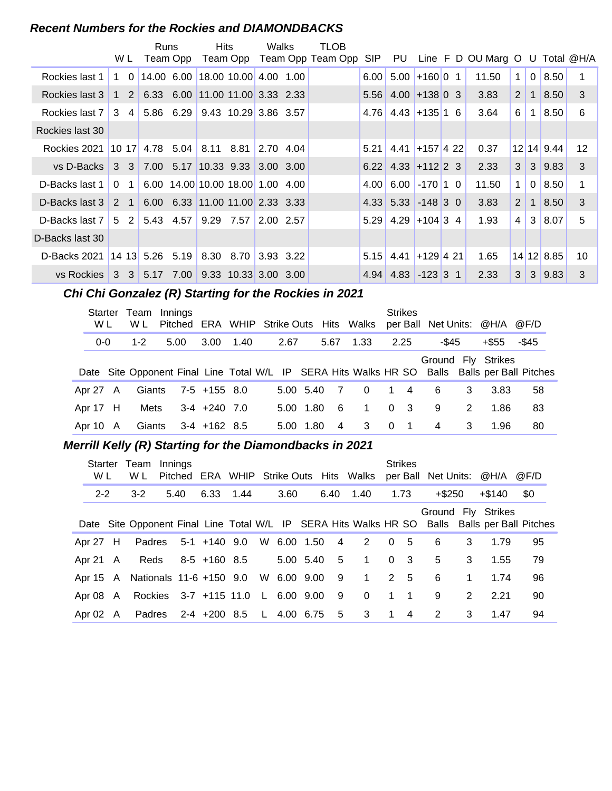#### **Recent Numbers for the Rockies and DIAMONDBACKS**

|                    | W L                        | <b>Runs</b>                                                                       | Team Opp | <b>Hits</b>                      |                                          | Walks     | TLOB<br>Team Opp Team Opp Team Opp SIP PU |      |                                          |                  | Line F D OU Marg O U Total @H/A |             |              |            |    |
|--------------------|----------------------------|-----------------------------------------------------------------------------------|----------|----------------------------------|------------------------------------------|-----------|-------------------------------------------|------|------------------------------------------|------------------|---------------------------------|-------------|--------------|------------|----|
| Rockies last 1     | 1 0                        |                                                                                   |          | 14.00 6.00 18.00 10.00 4.00 1.00 |                                          |           |                                           | 6.00 | 5.00                                     | $+160$ 0 1       | 11.50                           | $\mathbf 1$ | $\mathbf{0}$ | 8.50       |    |
| Rockies last 3     | $1\quad2$                  |                                                                                   |          | 6.33 6.00 11.00 11.00 3.33 2.33  |                                          |           |                                           | 5.56 | $4.00 + 13800$ 3                         |                  | 3.83                            | 2           | $\mathbf 1$  | 8.50       | 3  |
| Rockies last 7     | 3<br>$\vert$ 4             |                                                                                   |          | $5.86$ 6.29 9.43 10.29 3.86 3.57 |                                          |           |                                           | 4.76 |                                          | $4.43 + 135$ 1 6 | 3.64                            | 6           | 1            | 8.50       | 6  |
| Rockies last 30    |                            |                                                                                   |          |                                  |                                          |           |                                           |      |                                          |                  |                                 |             |              |            |    |
| Rockies 2021       |                            | $\begin{array}{ c c c c c c c c c } \hline \end{array}$ 10 17 4.78 5.04 8.11 8.81 |          |                                  |                                          | 2.70 4.04 |                                           |      | $5.21 \, 4.41$                           | $+157$ 4 22      | 0.37                            |             |              | 12 14 9.44 | 12 |
| ∨s D-Backs I       |                            | $3 \quad 3 \quad 7.00 \quad 5.17 \quad 10.33 \quad 9.33$                          |          |                                  |                                          | 3.00 3.00 |                                           |      | $6.22$ 4.33 + 112 2 3                    |                  | 2.33                            | 3           | 3            | 9.83       | 3  |
| D-Backs last 1     | $\Omega$<br>1 <sup>1</sup> |                                                                                   |          | 6.00 14.00 10.00 18.00 1.00 4.00 |                                          |           |                                           | 4.00 | 6.00                                     | $-170$ 1 0       | 11.50                           | 1           | $\mathbf{0}$ | 8.50       |    |
| D-Backs last 3     | $2 \quad 1$                |                                                                                   |          | 6.00 6.33 11.00 11.00 2.33 3.33  |                                          |           |                                           |      | $4.33 \mid 5.33 \mid -148 \mid 3 \mid 0$ |                  | 3.83                            | 2           | $\mathbf{1}$ | 8.50       | 3  |
| D-Backs last 7   5 |                            | $2 \mid 5.43 \mid 4.57 \mid$                                                      |          | 9.29 7.57                        |                                          | 2.00 2.57 |                                           |      | $5.29$ 4.29 + 104 3 4                    |                  | 1.93                            | 4           | 3            | 8.07       | 5  |
| D-Backs last 30    |                            |                                                                                   |          |                                  |                                          |           |                                           |      |                                          |                  |                                 |             |              |            |    |
| D-Backs 2021       |                            | $14$ 13 5.26 5.19                                                                 |          |                                  | 8.30 8.70                                | 3.93 3.22 |                                           | 5.15 | 4.41                                     | $+129$ 4 21      | 1.65                            |             |              | 14 12 8.85 | 10 |
| vs Rockies         |                            | $3 \quad 3 \quad 5.17 \quad 7.00$                                                 |          |                                  | $9.33 \quad 10.33 \quad 3.00 \quad 3.00$ |           |                                           | 4.94 | 4.83                                     | $-123$ 3 1       | 2.33                            | 3           | 3            | 9.83       | 3  |

# **..........Chi Chi Gonzalez (R) Starting for the Rockies in 2021**

| Starter<br>W L |   | Team<br>W L | Innings<br>Pitched ERA WHIP Strike Outs Hits Walks |                |      |      |           |                |                |          | <b>Strikes</b> |       |   | per Ball Net Units: @H/A @F/D |                                                                                               |
|----------------|---|-------------|----------------------------------------------------|----------------|------|------|-----------|----------------|----------------|----------|----------------|-------|---|-------------------------------|-----------------------------------------------------------------------------------------------|
| $0 - 0$        |   | $1 - 2$     | 5.00                                               | 3.00           | 1.40 | 2.67 |           | 5.67           | 1.33           | 2.25     |                | -\$45 |   | +\$55                         | -\$45                                                                                         |
|                |   |             |                                                    |                |      |      |           |                |                |          |                |       |   | Ground Fly Strikes            | Date Site Opponent Final Line Total W/L IP SERA Hits Walks HR SO Balls Balls per Ball Pitches |
| Apr 27 A       |   | Giants      |                                                    | $7-5$ +155 8.0 |      |      | 5.00 5.40 | $\overline{7}$ | $\Omega$       | 1        | $\overline{4}$ | 6     | 3 | 3.83                          | 58                                                                                            |
| Apr 17 H       |   | Mets        |                                                    | $3-4$ +240 7.0 |      | 5.00 | 1.80      | - 6            | $\overline{1}$ | $\Omega$ | $\mathbf{3}$   | 9     | 2 | 1.86                          | 83                                                                                            |
| Apr 10         | A | Giants      |                                                    | 3-4 +162 8.5   |      | 5.00 | 1.80      | 4              | 3              | $\Omega$ | $\overline{1}$ | 4     | 3 | 1.96                          | 80                                                                                            |

#### **Merrill Kelly (R) Starting for the Diamondbacks in 2021**

| <b>Starter</b><br>W L | Team Innings<br>W L                        |      |                          |  |      |             |                | Pitched ERA WHIP Strike Outs Hits Walks |                | <b>Strikes</b> | per Ball Net Units: @H/A |              |                    | @F/D                                                                                          |
|-----------------------|--------------------------------------------|------|--------------------------|--|------|-------------|----------------|-----------------------------------------|----------------|----------------|--------------------------|--------------|--------------------|-----------------------------------------------------------------------------------------------|
| $2 - 2$               | $3 - 2$                                    | 5.40 | 6.33 1.44                |  | 3.60 |             |                | 6.40 1.40                               |                | 1.73           | +\$250                   |              | $+\$140$           | - \$0                                                                                         |
|                       |                                            |      |                          |  |      |             |                |                                         |                |                |                          |              | Ground Fly Strikes | Date Site Opponent Final Line Total W/L IP SERA Hits Walks HR SO Balls Balls per Ball Pitches |
| Apr 27 H              | Padres                                     |      | 5-1 +140 9.0 W 6.00 1.50 |  |      |             | $\overline{4}$ | 2                                       | 0 <sub>5</sub> |                | 6                        | 3            | 1.79               | 95                                                                                            |
| Apr 21 A              |                                            |      | Reds 8-5 +160 8.5        |  |      | 5.00 5.40   | - 5            | $\mathbf{1}$                            |                | 0 <sup>3</sup> | 5                        | 3            | 1.55               | 79                                                                                            |
|                       | Apr 15 A Nationals 11-6 +150 9.0           |      |                          |  |      | W 6.00 9.00 | - 9            | $1 \quad 2 \quad 5$                     |                |                | 6                        | $\mathbf{1}$ | 1.74               | 96                                                                                            |
|                       | Apr 08 A Rockies 3-7 +115 11.0 L 6.00 9.00 |      |                          |  |      |             | - 9            | $\overline{\mathbf{0}}$                 |                | $1 \quad 1$    | 9                        | 2            | 2.21               | 90                                                                                            |
| Apr 02 A              | Padres 2-4 +200 8.5 L 4.00 6.75            |      |                          |  |      |             | 5              | $3 \quad 1 \quad 4$                     |                |                | 2                        | 3            | 1.47               | 94                                                                                            |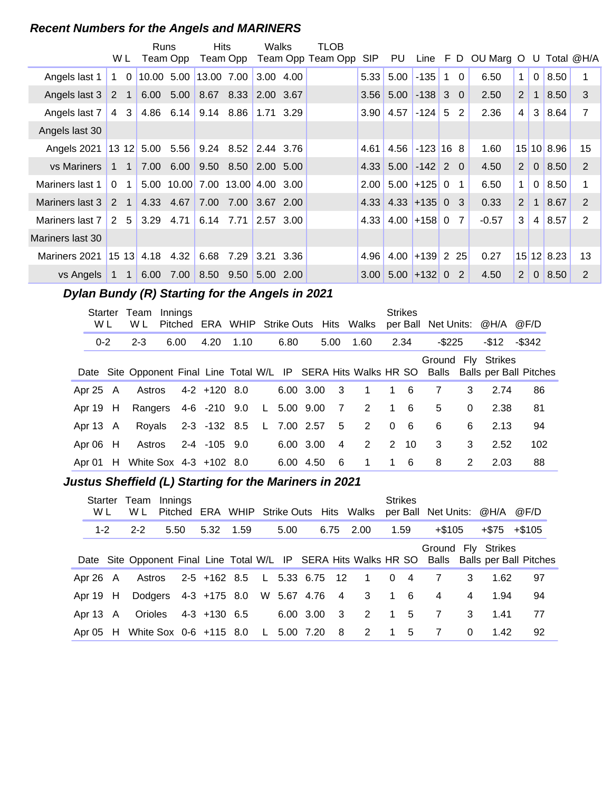# **Recent Numbers for the Angels and MARINERS**

|                  |                             |             | Runs                  | Hits |                             | Walks            |           | TLOB              |            |                         |                  |                |                |                                 |             |                |            |               |
|------------------|-----------------------------|-------------|-----------------------|------|-----------------------------|------------------|-----------|-------------------|------------|-------------------------|------------------|----------------|----------------|---------------------------------|-------------|----------------|------------|---------------|
|                  | W L                         |             | Team Opp              |      | Team Opp                    |                  |           | Team Opp Team Opp | <b>SIP</b> | PU                      |                  |                |                | Line F D OU Marg O U Total @H/A |             |                |            |               |
| Angels last 1    | $1\quad 0$                  |             | 10.00 5.00 13.00 7.00 |      |                             | $ 3.00 \t 4.00 $ |           |                   | 5.33       | 5.00                    | $-135$           | $\overline{1}$ | $\overline{0}$ | 6.50                            | $\mathbf 1$ | $\mathbf 0$    | 8.50       |               |
| Angels last 3    | $2 \quad 1$                 |             | 6.00 5.00             |      | 8.67 8.33 2.00 3.67         |                  |           |                   |            | $3.56$ 5.00             | $-138$ 3 0       |                |                | 2.50                            | 2           | $\mathbf 1$    | 8.50       | 3             |
| Angels last 7    | 3 <br>$\overline{4}$        |             | 4.86 6.14             |      | $9.14$ $8.86$ 1.71 3.29     |                  |           |                   |            | $3.90$ 4.57             | $-124$ 5         |                | 2              | 2.36                            | 4           | 3              | 8.64       | 7             |
| Angels last 30   |                             |             |                       |      |                             |                  |           |                   |            |                         |                  |                |                |                                 |             |                |            |               |
| Angels 2021      |                             |             | 13 12 5.00 5.56       |      | $9.24$ $8.52$ 2.44 3.76     |                  |           |                   | 4.61       |                         | $4.56$ -123 16 8 |                |                | 1.60                            |             |                | 15 10 8.96 | 15            |
| vs Mariners      | $1 \quad 1$                 |             | 7.00 6.00             |      | $9.50$ $8.50$ $2.00$ $5.00$ |                  |           |                   |            | $4.33$ 5.00 $-142$ 2 0  |                  |                |                | 4.50                            | 2           | $\overline{0}$ | 8.50       | 2             |
| Mariners last 1  | $\mathbf{0}$<br>$\mathbf 1$ |             | 5.00 10.00            |      | 7.00 13.00 4.00 3.00        |                  |           |                   | 2.00       |                         | $5.00$ +125 0    |                | $\overline{1}$ | 6.50                            | $\mathbf 1$ | $\mathbf 0$    | 8.50       |               |
| Mariners last 3  | 2<br>$\overline{1}$         |             | 4.33 4.67             |      | 7.00 7.00 3.67 2.00         |                  |           |                   |            | $4.33$ $ 4.33$ +135 0 3 |                  |                |                | 0.33                            | 2           | $\mathbf 1$    | 8.67       | 2             |
| Mariners last 7  | 5 <sup>1</sup><br>2         |             | $3.29$ 4.71           |      | $6.14$ 7.71 2.57 3.00       |                  |           |                   | 4.33       |                         | $4.00$ +158 0    |                | $\overline{7}$ | $-0.57$                         | 3           | 4              | 8.57       | $\mathcal{P}$ |
| Mariners last 30 |                             |             |                       |      |                             |                  |           |                   |            |                         |                  |                |                |                                 |             |                |            |               |
| Mariners 2021    |                             | $1513$ 4.18 | 4.32                  | 6.68 | 7.29                        | $ 3.21 \t3.36 $  |           |                   | 4.96       |                         | $4.00$ +139 2 25 |                |                | 0.27                            |             |                | 15 12 8.23 | 13            |
| vs Angels        | $1 \quad 1$                 | 6.00        | 7.00                  |      | 8.50 9.50                   |                  | 5.00 2.00 |                   | 3.00       |                         | $5.00$ +132 0    |                | 2              | 4.50                            | 2           | $\Omega$       | 8.50       | $\mathcal{P}$ |

# **..........Dylan Bundy (R) Starting for the Angels in 2021**

| Starter<br>W L | Team<br>W L            | Innings |                     |      |                   |      |                | Pitched ERA WHIP Strike Outs Hits Walks |          | <b>Strikes</b>  | per Ball Net Units: @H/A @F/D                                                                 |          |                    |        |  |
|----------------|------------------------|---------|---------------------|------|-------------------|------|----------------|-----------------------------------------|----------|-----------------|-----------------------------------------------------------------------------------------------|----------|--------------------|--------|--|
| $0 - 2$        | $2 - 3$                | 6.00    | 4.20                | 1.10 | 6.80              |      | 5.00           | 1.60                                    |          | 2.34            | $-$ \$225                                                                                     |          | -\$12              | -\$342 |  |
|                |                        |         |                     |      |                   |      |                |                                         |          |                 | Date Site Opponent Final Line Total W/L IP SERA Hits Walks HR SO Balls Balls per Ball Pitches |          | Ground Fly Strikes |        |  |
| Apr 25 A       |                        |         | Astros 4-2 +120 8.0 |      | $6.00 \t3.00 \t3$ |      |                | $\overline{1}$                          |          | $1\quad 6$      | 7                                                                                             | 3        | 2.74               | 86     |  |
| Apr $19$ H     | Rangers 4-6 -210 9.0   |         |                     |      |                   |      |                | L 5.00 9.00 7 2 1 6                     |          |                 | 5                                                                                             | $\Omega$ | 2.38               | 81     |  |
| Apr 13 A       |                        |         | Royals 2-3 -132 8.5 |      | L 7.00 2.57       |      |                | 5 <sub>1</sub><br>2                     | $\Omega$ | $6\overline{6}$ | 6                                                                                             | 6        | 2.13               | 94     |  |
| Apr 06 H       | Astros                 |         | 2-4 -105 9.0        |      | 6.00 3.00         |      | $\overline{4}$ | 2                                       |          | $2 \t10$        | 3                                                                                             | 3        | 2.52               | 102    |  |
| Apr $01$ H     | White Sox 4-3 +102 8.0 |         |                     |      | 6.00              | 4.50 | 6              | -1                                      |          | 1 6             | 8                                                                                             | 2        | 2.03               | 88     |  |

# **..........Justus Sheffield (L) Starting for the Mariners in 2021**

| W L      | Starter Team Innings<br>W L                 |      |              |  |             |     | Pitched ERA WHIP Strike Outs Hits Walks  |                | <b>Strikes</b> |                |          | per Ball Net Units: @H/A @F/D |                                                                                               |
|----------|---------------------------------------------|------|--------------|--|-------------|-----|------------------------------------------|----------------|----------------|----------------|----------|-------------------------------|-----------------------------------------------------------------------------------------------|
| $1 - 2$  | $2 - 2$                                     | 5.50 | 5.32 1.59    |  | 5.00        |     | 6.75 2.00                                |                | 1.59           | +\$105         |          | $+ $75 + $105$                |                                                                                               |
|          |                                             |      |              |  |             |     |                                          |                |                |                |          | Ground Fly Strikes            | Date Site Opponent Final Line Total W/L IP SERA Hits Walks HR SO Balls Balls per Ball Pitches |
| Apr 26 A |                                             |      |              |  |             |     | Astros 2-5 +162 8.5 L 5.33 6.75 12 1 0 4 |                |                | 7              | 3        | 1.62                          | 97                                                                                            |
| Apr 19 H | Dodgers 4-3 +175 8.0 W 5.67 4.76 4 3        |      |              |  |             |     |                                          | $\overline{1}$ | - 6            | 4              | 4        | 1.94                          | 94                                                                                            |
| Apr 13 A | Orioles                                     |      | 4-3 +130 6.5 |  | 6.00 3.00 3 |     | 2 1 5                                    |                |                | $\overline{7}$ | 3        | 1.41                          | 77                                                                                            |
|          | Apr 05 H White Sox 0-6 +115 8.0 L 5.00 7.20 |      |              |  |             | - 8 | 2                                        | $\mathbf 1$    | - 5            | 7              | $\Omega$ | 1.42                          | 92                                                                                            |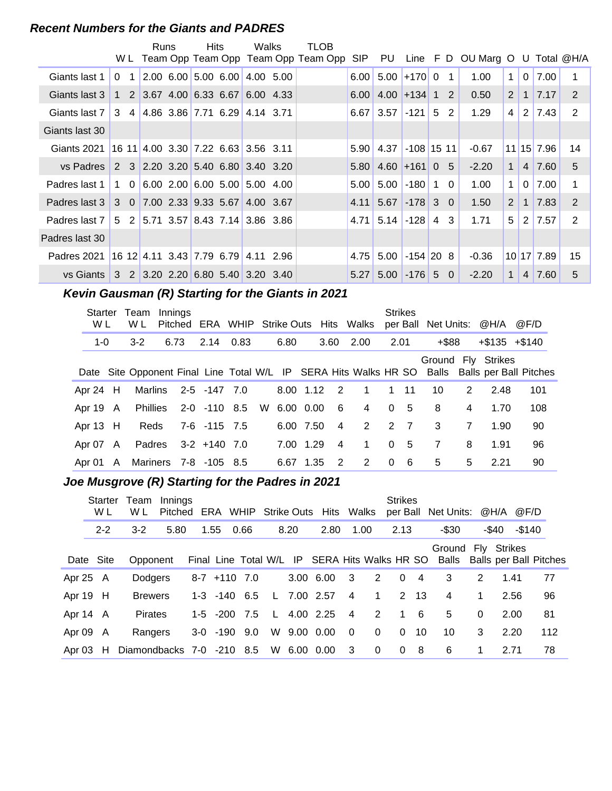#### **Recent Numbers for the Giants and PADRES**

|                |                                                                        | Runs                                                                      | <b>Hits</b> | Walks | TLOB                                    |      |                                          |                 |                |                                        |                |                |               |    |
|----------------|------------------------------------------------------------------------|---------------------------------------------------------------------------|-------------|-------|-----------------------------------------|------|------------------------------------------|-----------------|----------------|----------------------------------------|----------------|----------------|---------------|----|
|                |                                                                        |                                                                           |             |       | W L Team Opp Team Opp Team Opp Team Opp |      |                                          |                 |                | SIP PU Line F D OU Marg O U Total @H/A |                |                |               |    |
| Giants last 1  | $\Omega$<br>$\overline{1}$                                             | $\vert 2.00 \vert 6.00 \vert 5.00 \vert 6.00 \vert 4.00 \vert 5.00 \vert$ |             |       |                                         | 6.00 | 5.00                                     | $+170$ 0        | $\overline{1}$ | 1.00                                   | $\mathbf{1}$   | 0 <sup>1</sup> | 7.00          | 1  |
| Giants last 3  |                                                                        | $1\quad 2 \mid 3.67 \mid 4.00 \mid 6.33 \mid 6.67 \mid 6.00 \mid 4.33$    |             |       |                                         |      | $6.00 \mid 4.00 \mid +134 \mid 1 \mid 2$ |                 |                | 0.50                                   | 2 <sup>1</sup> |                | $1 \mid 7.17$ | 2  |
| Giants last 7  |                                                                        | $3\quad 4 \mid 4.86 \mid 3.86 \mid 7.71 \mid 6.29 \mid 4.14 \mid 3.71$    |             |       |                                         |      | $6.67$ 3.57                              | $-121$ 5        | $\overline{2}$ | 1.29                                   | 4              |                | $2 \mid 7.43$ | 2  |
| Giants last 30 |                                                                        |                                                                           |             |       |                                         |      |                                          |                 |                |                                        |                |                |               |    |
| Giants 2021    | 16 11 4.00 3.30 7.22 6.63 3.56 3.11                                    |                                                                           |             |       |                                         | 5.90 | 4.37                                     | $-108$ 15 11    |                | $-0.67$                                |                |                | $11$ 15 7.96  | 14 |
| vs Padres      | 2 3 2.20 3.20 5.40 6.80 3.40 3.20                                      |                                                                           |             |       |                                         | 5.80 | $4.60 + 161005$                          |                 |                | $-2.20$                                | 1              |                | $4 \mid 7.60$ | 5  |
| Padres last 1  | 1 0                                                                    | $ 6.00 \t2.00 6.00 \t5.00 5.00 \t4.00$                                    |             |       |                                         | 5.00 | 5.00                                     | $-180$          | 1 0            | 1.00                                   | $\mathbf{1}$   | 0 <sup>1</sup> | 7.00          | 1  |
| Padres last 3  |                                                                        | $3\quad 0$ 7.00 2.33 9.33 5.67 4.00 3.67                                  |             |       |                                         | 4.11 | $5.67$ -178 3 0                          |                 |                | 1.50                                   | 2              | 1 <sup>1</sup> | 7.83          | 2  |
| Padres last 7  |                                                                        | 5 2 5 71 3 57 8 43 7 14 3 86 3 86                                         |             |       |                                         | 4.71 | $5.14$ -128                              |                 | 4 3            | 1.71                                   | 5 <sup>1</sup> |                | $2 \mid 7.57$ | 2  |
| Padres last 30 |                                                                        |                                                                           |             |       |                                         |      |                                          |                 |                |                                        |                |                |               |    |
| Padres 2021    | 16 12 4.11 3.43 7.79 6.79 4.11 2.96                                    |                                                                           |             |       |                                         | 4.75 | 5.00                                     | $-154$ 20 8     |                | $-0.36$                                |                |                | 10 17 7.89    | 15 |
| vs Giants      | $3\quad 2\quad 3.20\quad 2.20\quad 6.80\quad 5.40\quad 3.20\quad 3.40$ |                                                                           |             |       |                                         | 5.27 |                                          | $5.00$ -176 5 0 |                | $-2.20$                                | $\mathbf 1$    |                | 4 7.60        | 5  |

# **Kevin Gausman (R) Starting for the Giants in 2021**

| Starter<br>W L | Team<br>W L                    | Innings | Pitched | ERA WHIP Strike Outs Hits Walks   |  |             |      |      |                |                | <b>Strikes</b> |              | per Ball Net Units: @H/A |   |                    | @F/D                                                                                          |
|----------------|--------------------------------|---------|---------|-----------------------------------|--|-------------|------|------|----------------|----------------|----------------|--------------|--------------------------|---|--------------------|-----------------------------------------------------------------------------------------------|
| $1 - 0$        | $3 - 2$                        |         | 6.73    | 2.14 0.83                         |  | 6.80        |      | 3.60 |                | 2.00           | 2.01           |              | $+$ \$88                 |   | $+\$135$ $+\$140$  |                                                                                               |
|                |                                |         |         |                                   |  |             |      |      |                |                |                |              |                          |   | Ground Fly Strikes | Date Site Opponent Final Line Total W/L IP SERA Hits Walks HR SO Balls Balls per Ball Pitches |
| Apr 24 H       |                                |         |         | Marlins 2-5 -147 7.0              |  | 8.00 1.12 2 |      |      |                | $\overline{1}$ |                | $1 \quad 11$ | 10                       | 2 | 2.48               | 101                                                                                           |
| Apr 19 A       |                                |         |         | Phillies 2-0 -110 8.5 W 6.00 0.00 |  |             |      | - 6  |                | 4              | $\Omega$       | - 5          | 8                        | 4 | 1.70               | 108                                                                                           |
| Apr 13 H       | Reds                           |         |         | 7-6 -115 7.5                      |  | 6.00 7.50   |      |      | $\overline{4}$ | $\overline{2}$ | 2 7            |              | 3                        | 7 | 1.90               | 90                                                                                            |
| Apr 07 A       |                                |         |         | Padres 3-2 +140 7.0               |  | 7.00        | 1.29 |      | $\overline{4}$ | $\mathbf{1}$   | $\Omega$       | - 5          | 7                        | 8 | 1.91               | 96                                                                                            |
|                | Apr 01 A Mariners 7-8 -105 8.5 |         |         |                                   |  | 6.67        | 1.35 |      | $\mathcal{P}$  | 2              | $\Omega$       | - 6          | 5                        | 5 | 2.21               | 90                                                                                            |

# **..........Joe Musgrove (R) Starting for the Padres in 2021**

|            | Starter<br>W L | Team<br>W L               | Innings<br>Pitched |      |                    |      |              |      | ERA WHIP Strike Outs Hits Walks               |                         |              | <b>Strikes</b> |      | per Ball Net Units: @H/A @F/D                      |             |       |        |     |
|------------|----------------|---------------------------|--------------------|------|--------------------|------|--------------|------|-----------------------------------------------|-------------------------|--------------|----------------|------|----------------------------------------------------|-------------|-------|--------|-----|
|            | $2 - 2$        | $3-2$                     | 5.80               | 1.55 |                    | 0.66 |              | 8.20 | 2.80                                          |                         | 1.00         | 2.13           |      | $-$ \$30                                           |             | -\$40 | -\$140 |     |
|            | Date Site      | Opponent                  |                    |      |                    |      |              |      | Final Line Total W/L IP SERA Hits Walks HR SO |                         |              |                |      | Ground Fly Strikes<br>Balls Balls per Ball Pitches |             |       |        |     |
| Apr 25 A   |                | Dodgers                   |                    |      | $8-7$ $+110$ 7.0   |      |              |      | 3.00 6.00                                     | $\overline{\mathbf{3}}$ | 2            | $\Omega$       | 4    | 3                                                  | 2           | 1.41  |        | 77  |
| Apr 19 H   |                | <b>Brewers</b>            |                    |      | $1-3$ $-140$ 6.5   |      | $\mathsf{L}$ |      | 7.00 2.57                                     | $\overline{4}$          | $\mathbf{1}$ |                | 2 13 | $\overline{4}$                                     | $\mathbf 1$ | 2.56  |        | 96  |
| Apr 14 A   |                | <b>Pirates</b>            |                    |      | $1-5$ $-200$ $7.5$ |      | $\mathsf{L}$ |      | 4.00 2.25                                     | $\overline{4}$          | 2            | $\overline{1}$ | - 6  | 5                                                  | $\Omega$    | 2.00  |        | 81  |
| Apr 09 A   |                | Rangers                   |                    |      | $3-0$ $-190$ $9.0$ |      |              |      | W 9.00 0.00                                   | $\overline{0}$          | $\mathbf 0$  | $\Omega$       | 10   | 10                                                 | 3           | 2.20  |        | 112 |
| Apr $03$ H |                | Diamondbacks 7-0 -210 8.5 |                    |      |                    |      |              |      | W 6.00 0.00                                   | -3                      | $\mathbf 0$  | $\Omega$       | -8   | 6                                                  | 1           | 2.71  |        | 78  |